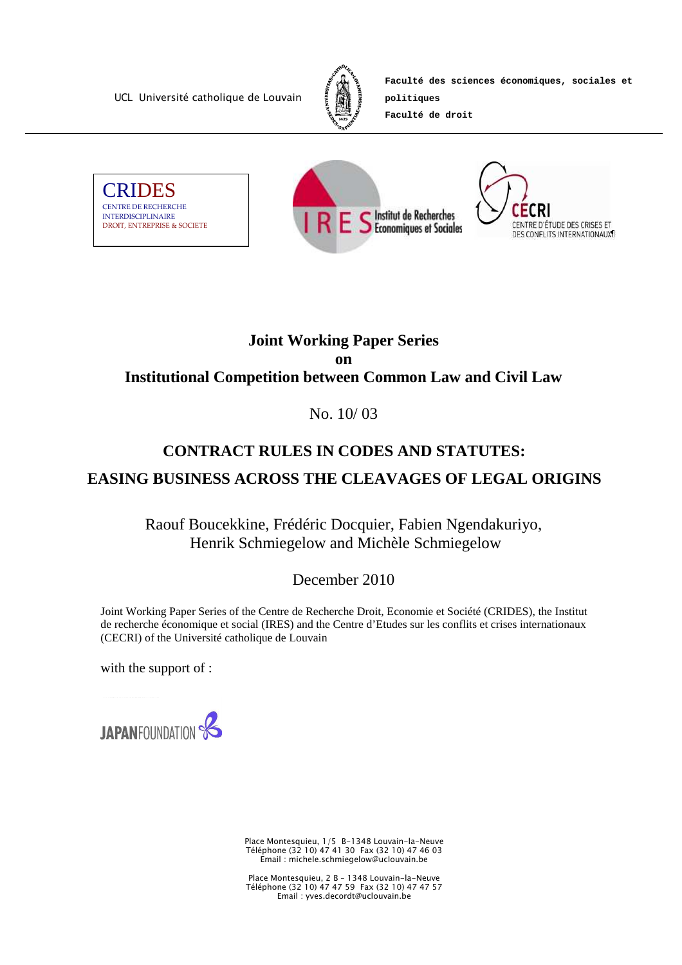UCL Université catholique de Louvain



**Faculté des sciences économiques, sociales et** 

**Faculté de droit**

**politiques** 







# **Joint Working Paper Series on Institutional Competition between Common Law and Civil Law**

# No. 10/ 03

# **CONTRACT RULES IN CODES AND STATUTES:**

# **EASING BUSINESS ACROSS THE CLEAVAGES OF LEGAL ORIGINS**

Raouf Boucekkine, Frédéric Docquier, Fabien Ngendakuriyo, Henrik Schmiegelow and Michèle Schmiegelow

December 2010

Joint Working Paper Series of the Centre de Recherche Droit, Economie et Société (CRIDES), the Institut de recherche économique et social (IRES) and the Centre d'Etudes sur les conflits et crises internationaux (CECRI) of the Université catholique de Louvain

with the support of :



Place Montesquieu, 1/5 B-1348 Louvain-la-Neuve Téléphone (32 10) 47 41 30 Fax (32 10) 47 46 03 Email : michele.schmiegelow@uclouvain.be

Place Montesquieu, 2 B – 1348 Louvain-la-Neuve Téléphone (32 10) 47 47 59 Fax (32 10) 47 47 57 Email : yves.decordt@uclouvain.be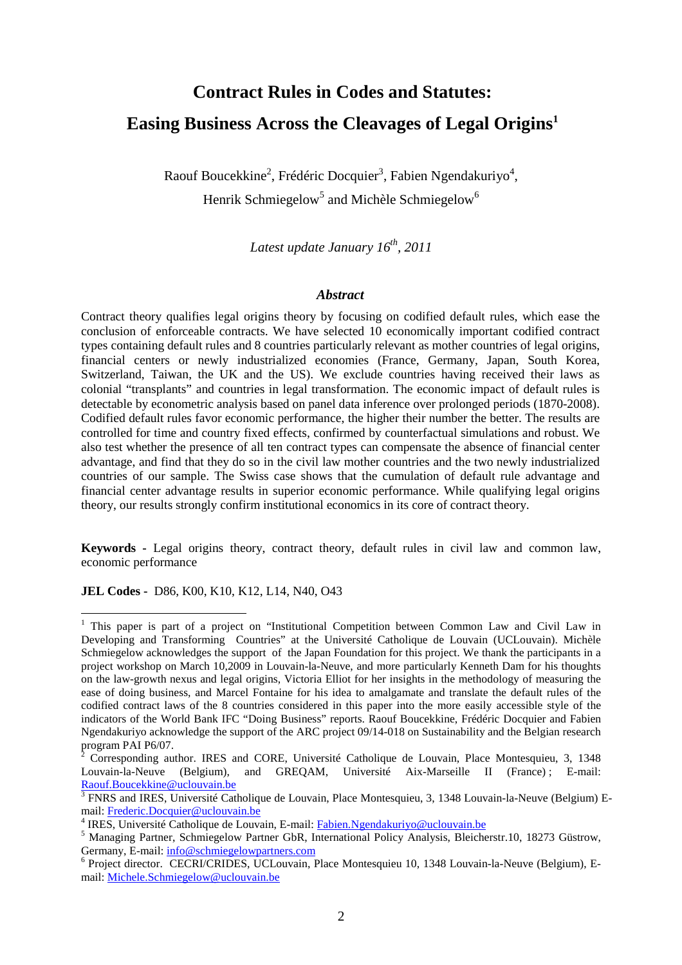# **Contract Rules in Codes and Statutes: Easing Business Across the Cleavages of Legal Origins<sup>1</sup>**

Raouf Boucekkine<sup>2</sup>, Frédéric Docquier<sup>3</sup>, Fabien Ngendakuriyo<sup>4</sup>, Henrik Schmiegelow<sup>5</sup> and Michèle Schmiegelow<sup>6</sup>

*Latest update January 16th, 2011* 

#### *Abstract*

Contract theory qualifies legal origins theory by focusing on codified default rules, which ease the conclusion of enforceable contracts. We have selected 10 economically important codified contract types containing default rules and 8 countries particularly relevant as mother countries of legal origins, financial centers or newly industrialized economies (France, Germany, Japan, South Korea, Switzerland, Taiwan, the UK and the US). We exclude countries having received their laws as colonial "transplants" and countries in legal transformation. The economic impact of default rules is detectable by econometric analysis based on panel data inference over prolonged periods (1870-2008). Codified default rules favor economic performance, the higher their number the better. The results are controlled for time and country fixed effects, confirmed by counterfactual simulations and robust. We also test whether the presence of all ten contract types can compensate the absence of financial center advantage, and find that they do so in the civil law mother countries and the two newly industrialized countries of our sample. The Swiss case shows that the cumulation of default rule advantage and financial center advantage results in superior economic performance. While qualifying legal origins theory, our results strongly confirm institutional economics in its core of contract theory.

**Keywords -** Legal origins theory, contract theory, default rules in civil law and common law, economic performance

**JEL Codes -** D86, K00, K10, K12, L14, N40, O43

 $\overline{a}$ 

<sup>&</sup>lt;sup>1</sup> This paper is part of a project on "Institutional Competition between Common Law and Civil Law in Developing and Transforming Countries" at the Université Catholique de Louvain (UCLouvain). Michèle Schmiegelow acknowledges the support of the Japan Foundation for this project. We thank the participants in a project workshop on March 10,2009 in Louvain-la-Neuve, and more particularly Kenneth Dam for his thoughts on the law-growth nexus and legal origins, Victoria Elliot for her insights in the methodology of measuring the ease of doing business, and Marcel Fontaine for his idea to amalgamate and translate the default rules of the codified contract laws of the 8 countries considered in this paper into the more easily accessible style of the indicators of the World Bank IFC "Doing Business" reports. Raouf Boucekkine, Frédéric Docquier and Fabien Ngendakuriyo acknowledge the support of the ARC project 09/14-018 on Sustainability and the Belgian research program PAI P6/07.

 $\bar{2}$  Corresponding author. IRES and CORE, Université Catholique de Louvain, Place Montesquieu, 3, 1348 Louvain-la-Neuve (Belgium), and GREQAM, Université Aix-Marseille II (France); E-mail: Raouf.Boucekkine@uclouvain.be

<sup>&</sup>lt;sup>3</sup> FNRS and IRES, Université Catholique de Louvain, Place Montesquieu, 3, 1348 Louvain-la-Neuve (Belgium) Email: Frederic.Docquier@uclouvain.be

<sup>&</sup>lt;sup>4</sup> IRES, Université Catholique de Louvain, E-mail: *Fabien.Ngendakuriyo@uclouvain.be* 

<sup>&</sup>lt;sup>5</sup> Managing Partner, Schmiegelow Partner GbR, International Policy Analysis, Bleicherstr.10, 18273 Güstrow, Germany, E-mail: info@schmiegelowpartners.com

<sup>&</sup>lt;sup>6</sup> Project director. CECRI/CRIDES, UCLouvain, Place Montesquieu 10, 1348 Louvain-la-Neuve (Belgium), Email: Michele.Schmiegelow@uclouvain.be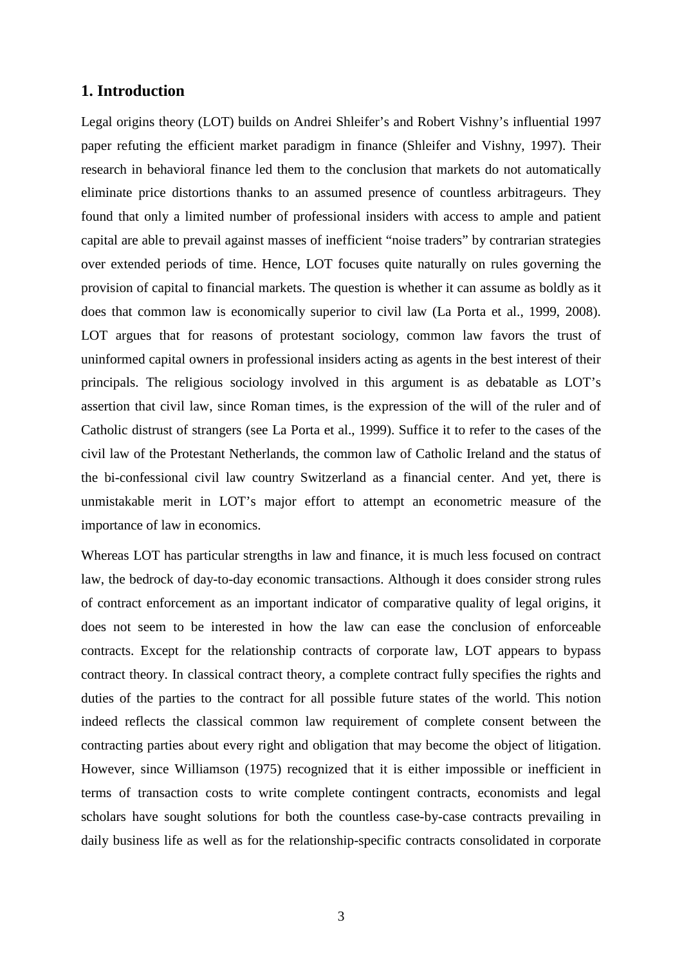## **1. Introduction**

Legal origins theory (LOT) builds on Andrei Shleifer's and Robert Vishny's influential 1997 paper refuting the efficient market paradigm in finance (Shleifer and Vishny, 1997). Their research in behavioral finance led them to the conclusion that markets do not automatically eliminate price distortions thanks to an assumed presence of countless arbitrageurs. They found that only a limited number of professional insiders with access to ample and patient capital are able to prevail against masses of inefficient "noise traders" by contrarian strategies over extended periods of time. Hence, LOT focuses quite naturally on rules governing the provision of capital to financial markets. The question is whether it can assume as boldly as it does that common law is economically superior to civil law (La Porta et al., 1999, 2008). LOT argues that for reasons of protestant sociology, common law favors the trust of uninformed capital owners in professional insiders acting as agents in the best interest of their principals. The religious sociology involved in this argument is as debatable as LOT's assertion that civil law, since Roman times, is the expression of the will of the ruler and of Catholic distrust of strangers (see La Porta et al., 1999). Suffice it to refer to the cases of the civil law of the Protestant Netherlands, the common law of Catholic Ireland and the status of the bi-confessional civil law country Switzerland as a financial center. And yet, there is unmistakable merit in LOT's major effort to attempt an econometric measure of the importance of law in economics.

Whereas LOT has particular strengths in law and finance, it is much less focused on contract law, the bedrock of day-to-day economic transactions. Although it does consider strong rules of contract enforcement as an important indicator of comparative quality of legal origins, it does not seem to be interested in how the law can ease the conclusion of enforceable contracts. Except for the relationship contracts of corporate law, LOT appears to bypass contract theory. In classical contract theory, a complete contract fully specifies the rights and duties of the parties to the contract for all possible future states of the world. This notion indeed reflects the classical common law requirement of complete consent between the contracting parties about every right and obligation that may become the object of litigation. However, since Williamson (1975) recognized that it is either impossible or inefficient in terms of transaction costs to write complete contingent contracts, economists and legal scholars have sought solutions for both the countless case-by-case contracts prevailing in daily business life as well as for the relationship-specific contracts consolidated in corporate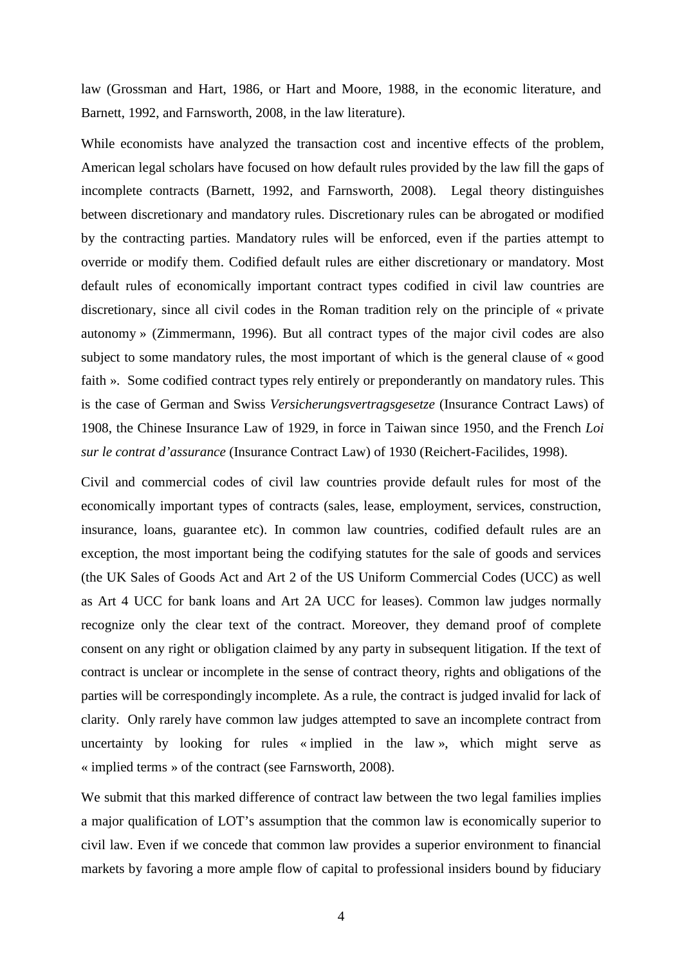law (Grossman and Hart, 1986, or Hart and Moore, 1988, in the economic literature, and Barnett, 1992, and Farnsworth, 2008, in the law literature).

While economists have analyzed the transaction cost and incentive effects of the problem, American legal scholars have focused on how default rules provided by the law fill the gaps of incomplete contracts (Barnett, 1992, and Farnsworth, 2008). Legal theory distinguishes between discretionary and mandatory rules. Discretionary rules can be abrogated or modified by the contracting parties. Mandatory rules will be enforced, even if the parties attempt to override or modify them. Codified default rules are either discretionary or mandatory. Most default rules of economically important contract types codified in civil law countries are discretionary, since all civil codes in the Roman tradition rely on the principle of « private autonomy » (Zimmermann, 1996). But all contract types of the major civil codes are also subject to some mandatory rules, the most important of which is the general clause of « good faith ». Some codified contract types rely entirely or preponderantly on mandatory rules. This is the case of German and Swiss *Versicherungsvertragsgesetze* (Insurance Contract Laws) of 1908, the Chinese Insurance Law of 1929, in force in Taiwan since 1950, and the French *Loi sur le contrat d'assurance* (Insurance Contract Law) of 1930 (Reichert-Facilides, 1998).

Civil and commercial codes of civil law countries provide default rules for most of the economically important types of contracts (sales, lease, employment, services, construction, insurance, loans, guarantee etc). In common law countries, codified default rules are an exception, the most important being the codifying statutes for the sale of goods and services (the UK Sales of Goods Act and Art 2 of the US Uniform Commercial Codes (UCC) as well as Art 4 UCC for bank loans and Art 2A UCC for leases). Common law judges normally recognize only the clear text of the contract. Moreover, they demand proof of complete consent on any right or obligation claimed by any party in subsequent litigation. If the text of contract is unclear or incomplete in the sense of contract theory, rights and obligations of the parties will be correspondingly incomplete. As a rule, the contract is judged invalid for lack of clarity. Only rarely have common law judges attempted to save an incomplete contract from uncertainty by looking for rules « implied in the law », which might serve as « implied terms » of the contract (see Farnsworth, 2008).

We submit that this marked difference of contract law between the two legal families implies a major qualification of LOT's assumption that the common law is economically superior to civil law. Even if we concede that common law provides a superior environment to financial markets by favoring a more ample flow of capital to professional insiders bound by fiduciary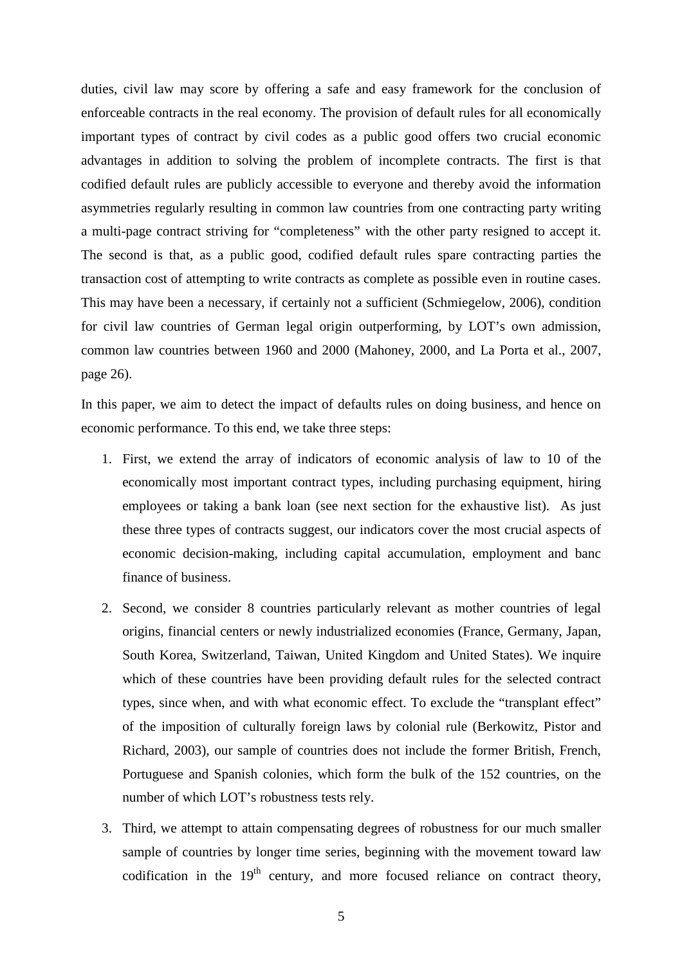duties, civil law may score by offering a safe and easy framework for the conclusion of enforceable contracts in the real economy. The provision of default rules for all economically important types of contract by civil codes as a public good offers two crucial economic advantages in addition to solving the problem of incomplete contracts. The first is that codified default rules are publicly accessible to everyone and thereby avoid the information asymmetries regularly resulting in common law countries from one contracting party writing a multi-page contract striving for "completeness" with the other party resigned to accept it. The second is that, as a public good, codified default rules spare contracting parties the transaction cost of attempting to write contracts as complete as possible even in routine cases. This may have been a necessary, if certainly not a sufficient (Schmiegelow, 2006), condition for civil law countries of German legal origin outperforming, by LOT's own admission, common law countries between 1960 and 2000 (Mahoney, 2000, and La Porta et al., 2007, page 26).

In this paper, we aim to detect the impact of defaults rules on doing business, and hence on economic performance. To this end, we take three steps:

- 1. First, we extend the array of indicators of economic analysis of law to 10 of the economically most important contract types, including purchasing equipment, hiring employees or taking a bank loan (see next section for the exhaustive list). As just these three types of contracts suggest, our indicators cover the most crucial aspects of economic decision-making, including capital accumulation, employment and banc finance of business.
- 2. Second, we consider 8 countries particularly relevant as mother countries of legal origins, financial centers or newly industrialized economies (France, Germany, Japan, South Korea, Switzerland, Taiwan, United Kingdom and United States). We inquire which of these countries have been providing default rules for the selected contract types, since when, and with what economic effect. To exclude the "transplant effect" of the imposition of culturally foreign laws by colonial rule (Berkowitz, Pistor and Richard, 2003), our sample of countries does not include the former British, French, Portuguese and Spanish colonies, which form the bulk of the 152 countries, on the number of which LOT's robustness tests rely.
- 3. Third, we attempt to attain compensating degrees of robustness for our much smaller sample of countries by longer time series, beginning with the movement toward law codification in the  $19<sup>th</sup>$  century, and more focused reliance on contract theory,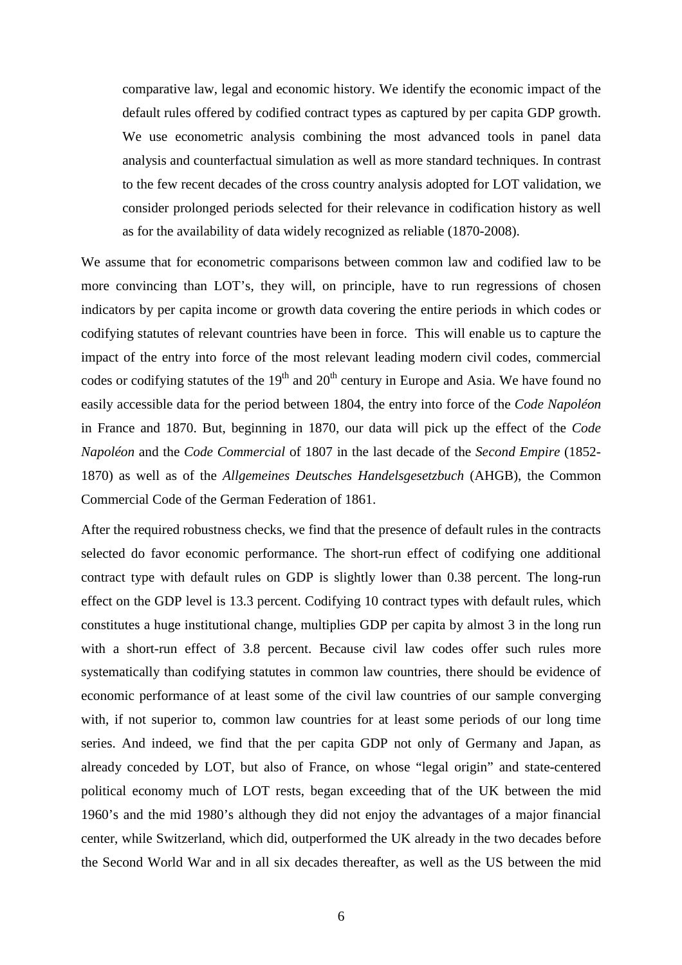comparative law, legal and economic history. We identify the economic impact of the default rules offered by codified contract types as captured by per capita GDP growth. We use econometric analysis combining the most advanced tools in panel data analysis and counterfactual simulation as well as more standard techniques. In contrast to the few recent decades of the cross country analysis adopted for LOT validation, we consider prolonged periods selected for their relevance in codification history as well as for the availability of data widely recognized as reliable (1870-2008).

We assume that for econometric comparisons between common law and codified law to be more convincing than LOT's, they will, on principle, have to run regressions of chosen indicators by per capita income or growth data covering the entire periods in which codes or codifying statutes of relevant countries have been in force. This will enable us to capture the impact of the entry into force of the most relevant leading modern civil codes, commercial codes or codifying statutes of the  $19<sup>th</sup>$  and  $20<sup>th</sup>$  century in Europe and Asia. We have found no easily accessible data for the period between 1804, the entry into force of the *Code Napoléon* in France and 1870. But, beginning in 1870, our data will pick up the effect of the *Code Napoléon* and the *Code Commercial* of 1807 in the last decade of the *Second Empire* (1852- 1870) as well as of the *Allgemeines Deutsches Handelsgesetzbuch* (AHGB), the Common Commercial Code of the German Federation of 1861.

After the required robustness checks, we find that the presence of default rules in the contracts selected do favor economic performance. The short-run effect of codifying one additional contract type with default rules on GDP is slightly lower than 0.38 percent. The long-run effect on the GDP level is 13.3 percent. Codifying 10 contract types with default rules, which constitutes a huge institutional change, multiplies GDP per capita by almost 3 in the long run with a short-run effect of 3.8 percent. Because civil law codes offer such rules more systematically than codifying statutes in common law countries, there should be evidence of economic performance of at least some of the civil law countries of our sample converging with, if not superior to, common law countries for at least some periods of our long time series. And indeed, we find that the per capita GDP not only of Germany and Japan, as already conceded by LOT, but also of France, on whose "legal origin" and state-centered political economy much of LOT rests, began exceeding that of the UK between the mid 1960's and the mid 1980's although they did not enjoy the advantages of a major financial center, while Switzerland, which did, outperformed the UK already in the two decades before the Second World War and in all six decades thereafter, as well as the US between the mid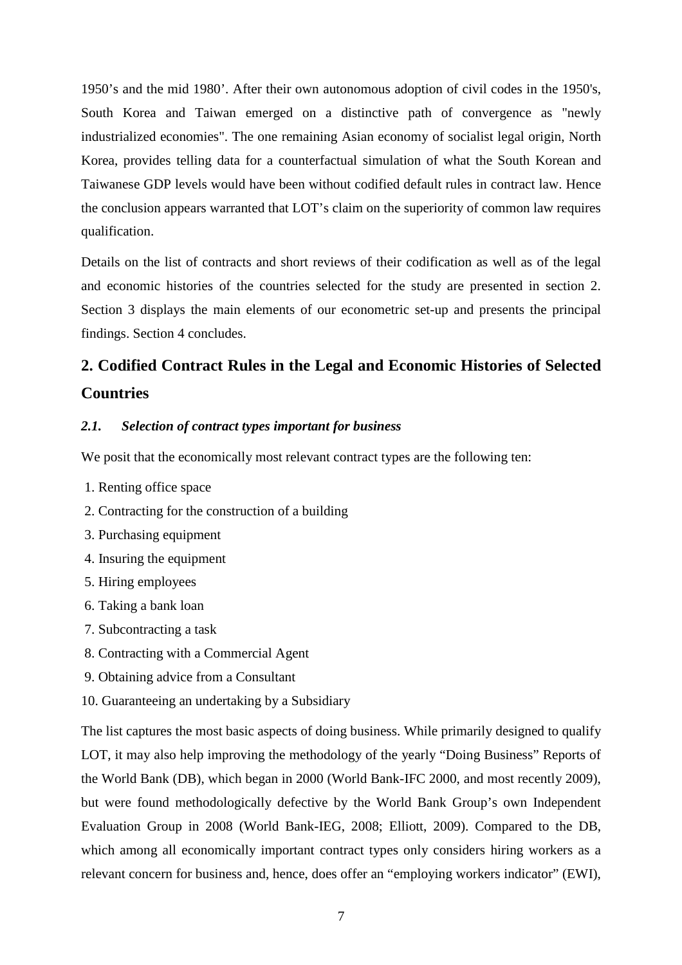1950's and the mid 1980'. After their own autonomous adoption of civil codes in the 1950's, South Korea and Taiwan emerged on a distinctive path of convergence as "newly industrialized economies". The one remaining Asian economy of socialist legal origin, North Korea, provides telling data for a counterfactual simulation of what the South Korean and Taiwanese GDP levels would have been without codified default rules in contract law. Hence the conclusion appears warranted that LOT's claim on the superiority of common law requires qualification.

Details on the list of contracts and short reviews of their codification as well as of the legal and economic histories of the countries selected for the study are presented in section 2. Section 3 displays the main elements of our econometric set-up and presents the principal findings. Section 4 concludes.

# **2. Codified Contract Rules in the Legal and Economic Histories of Selected Countries**

# *2.1. Selection of contract types important for business*

We posit that the economically most relevant contract types are the following ten:

- 1. Renting office space
- 2. Contracting for the construction of a building
- 3. Purchasing equipment
- 4. Insuring the equipment
- 5. Hiring employees
- 6. Taking a bank loan
- 7. Subcontracting a task
- 8. Contracting with a Commercial Agent
- 9. Obtaining advice from a Consultant
- 10. Guaranteeing an undertaking by a Subsidiary

The list captures the most basic aspects of doing business. While primarily designed to qualify LOT, it may also help improving the methodology of the yearly "Doing Business" Reports of the World Bank (DB), which began in 2000 (World Bank-IFC 2000, and most recently 2009), but were found methodologically defective by the World Bank Group's own Independent Evaluation Group in 2008 (World Bank-IEG, 2008; Elliott, 2009). Compared to the DB, which among all economically important contract types only considers hiring workers as a relevant concern for business and, hence, does offer an "employing workers indicator" (EWI),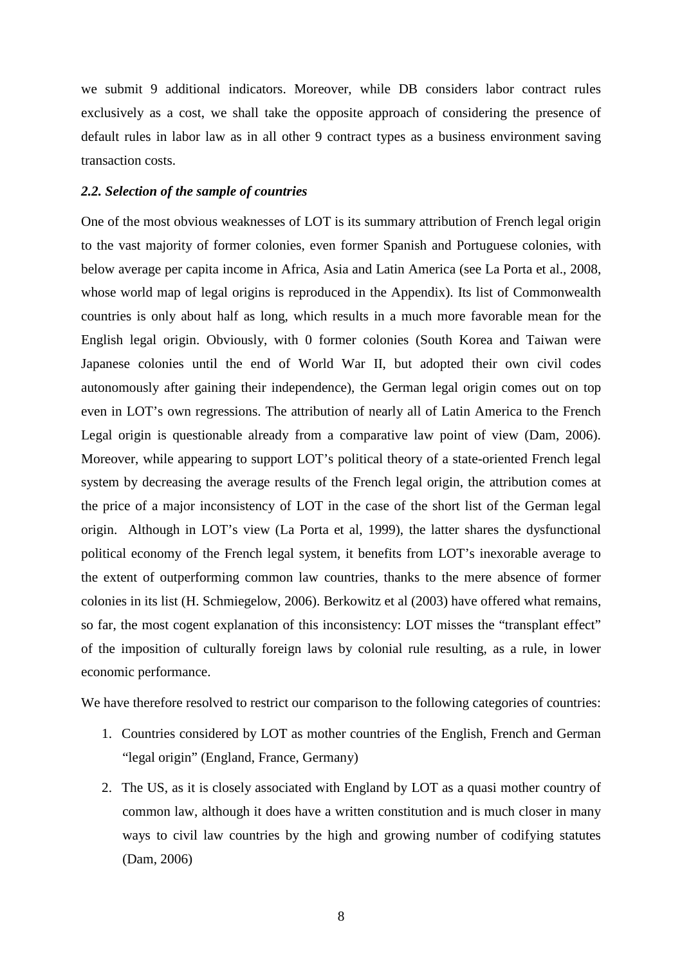we submit 9 additional indicators. Moreover, while DB considers labor contract rules exclusively as a cost, we shall take the opposite approach of considering the presence of default rules in labor law as in all other 9 contract types as a business environment saving transaction costs.

#### *2.2. Selection of the sample of countries*

One of the most obvious weaknesses of LOT is its summary attribution of French legal origin to the vast majority of former colonies, even former Spanish and Portuguese colonies, with below average per capita income in Africa, Asia and Latin America (see La Porta et al., 2008, whose world map of legal origins is reproduced in the Appendix). Its list of Commonwealth countries is only about half as long, which results in a much more favorable mean for the English legal origin. Obviously, with 0 former colonies (South Korea and Taiwan were Japanese colonies until the end of World War II, but adopted their own civil codes autonomously after gaining their independence), the German legal origin comes out on top even in LOT's own regressions. The attribution of nearly all of Latin America to the French Legal origin is questionable already from a comparative law point of view (Dam, 2006). Moreover, while appearing to support LOT's political theory of a state-oriented French legal system by decreasing the average results of the French legal origin, the attribution comes at the price of a major inconsistency of LOT in the case of the short list of the German legal origin. Although in LOT's view (La Porta et al, 1999), the latter shares the dysfunctional political economy of the French legal system, it benefits from LOT's inexorable average to the extent of outperforming common law countries, thanks to the mere absence of former colonies in its list (H. Schmiegelow, 2006). Berkowitz et al (2003) have offered what remains, so far, the most cogent explanation of this inconsistency: LOT misses the "transplant effect" of the imposition of culturally foreign laws by colonial rule resulting, as a rule, in lower economic performance.

We have therefore resolved to restrict our comparison to the following categories of countries:

- 1. Countries considered by LOT as mother countries of the English, French and German "legal origin" (England, France, Germany)
- 2. The US, as it is closely associated with England by LOT as a quasi mother country of common law, although it does have a written constitution and is much closer in many ways to civil law countries by the high and growing number of codifying statutes (Dam, 2006)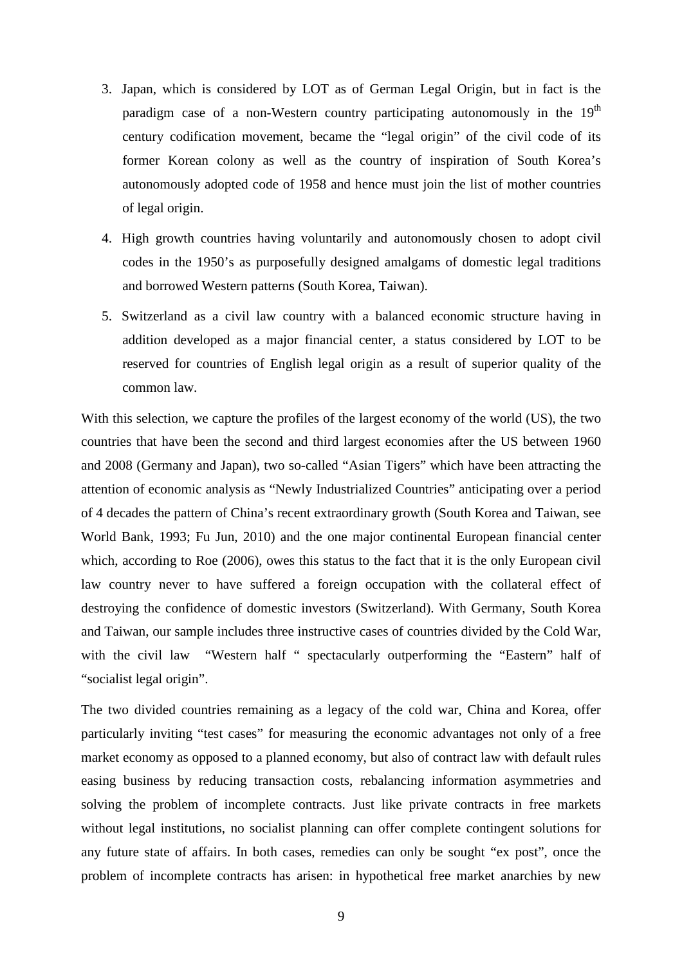- 3. Japan, which is considered by LOT as of German Legal Origin, but in fact is the paradigm case of a non-Western country participating autonomously in the  $19<sup>th</sup>$ century codification movement, became the "legal origin" of the civil code of its former Korean colony as well as the country of inspiration of South Korea's autonomously adopted code of 1958 and hence must join the list of mother countries of legal origin.
- 4. High growth countries having voluntarily and autonomously chosen to adopt civil codes in the 1950's as purposefully designed amalgams of domestic legal traditions and borrowed Western patterns (South Korea, Taiwan).
- 5. Switzerland as a civil law country with a balanced economic structure having in addition developed as a major financial center, a status considered by LOT to be reserved for countries of English legal origin as a result of superior quality of the common law.

With this selection, we capture the profiles of the largest economy of the world (US), the two countries that have been the second and third largest economies after the US between 1960 and 2008 (Germany and Japan), two so-called "Asian Tigers" which have been attracting the attention of economic analysis as "Newly Industrialized Countries" anticipating over a period of 4 decades the pattern of China's recent extraordinary growth (South Korea and Taiwan, see World Bank, 1993; Fu Jun, 2010) and the one major continental European financial center which, according to Roe (2006), owes this status to the fact that it is the only European civil law country never to have suffered a foreign occupation with the collateral effect of destroying the confidence of domestic investors (Switzerland). With Germany, South Korea and Taiwan, our sample includes three instructive cases of countries divided by the Cold War, with the civil law "Western half " spectacularly outperforming the "Eastern" half of "socialist legal origin".

The two divided countries remaining as a legacy of the cold war, China and Korea, offer particularly inviting "test cases" for measuring the economic advantages not only of a free market economy as opposed to a planned economy, but also of contract law with default rules easing business by reducing transaction costs, rebalancing information asymmetries and solving the problem of incomplete contracts. Just like private contracts in free markets without legal institutions, no socialist planning can offer complete contingent solutions for any future state of affairs. In both cases, remedies can only be sought "ex post", once the problem of incomplete contracts has arisen: in hypothetical free market anarchies by new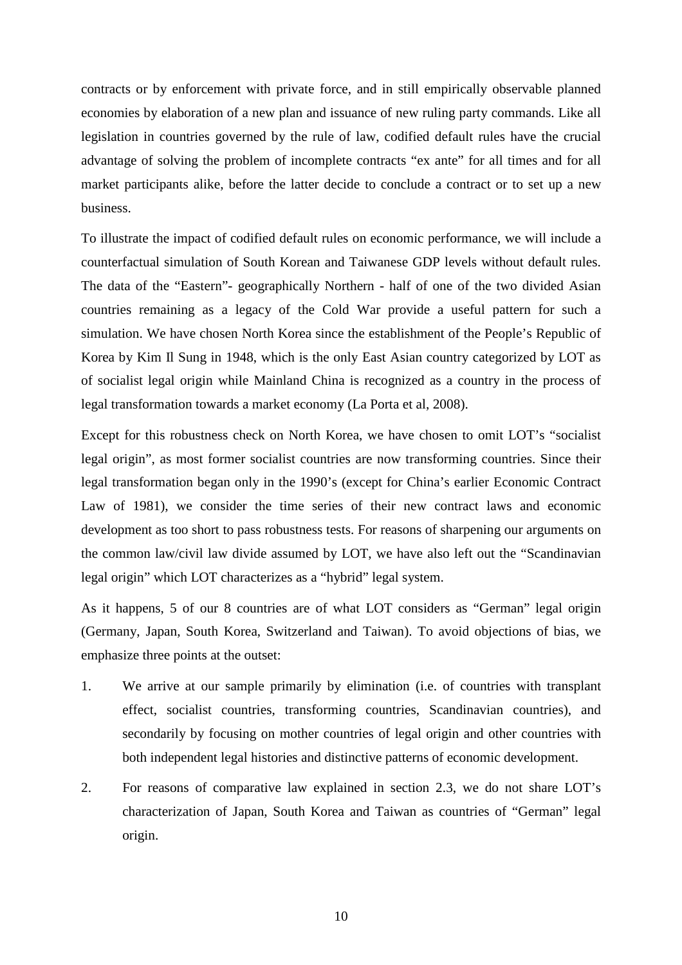contracts or by enforcement with private force, and in still empirically observable planned economies by elaboration of a new plan and issuance of new ruling party commands. Like all legislation in countries governed by the rule of law, codified default rules have the crucial advantage of solving the problem of incomplete contracts "ex ante" for all times and for all market participants alike, before the latter decide to conclude a contract or to set up a new business.

To illustrate the impact of codified default rules on economic performance, we will include a counterfactual simulation of South Korean and Taiwanese GDP levels without default rules. The data of the "Eastern"- geographically Northern - half of one of the two divided Asian countries remaining as a legacy of the Cold War provide a useful pattern for such a simulation. We have chosen North Korea since the establishment of the People's Republic of Korea by Kim Il Sung in 1948, which is the only East Asian country categorized by LOT as of socialist legal origin while Mainland China is recognized as a country in the process of legal transformation towards a market economy (La Porta et al, 2008).

Except for this robustness check on North Korea, we have chosen to omit LOT's "socialist legal origin", as most former socialist countries are now transforming countries. Since their legal transformation began only in the 1990's (except for China's earlier Economic Contract Law of 1981), we consider the time series of their new contract laws and economic development as too short to pass robustness tests. For reasons of sharpening our arguments on the common law/civil law divide assumed by LOT, we have also left out the "Scandinavian legal origin" which LOT characterizes as a "hybrid" legal system.

As it happens, 5 of our 8 countries are of what LOT considers as "German" legal origin (Germany, Japan, South Korea, Switzerland and Taiwan). To avoid objections of bias, we emphasize three points at the outset:

- 1. We arrive at our sample primarily by elimination (i.e. of countries with transplant effect, socialist countries, transforming countries, Scandinavian countries), and secondarily by focusing on mother countries of legal origin and other countries with both independent legal histories and distinctive patterns of economic development.
- 2. For reasons of comparative law explained in section 2.3, we do not share LOT's characterization of Japan, South Korea and Taiwan as countries of "German" legal origin.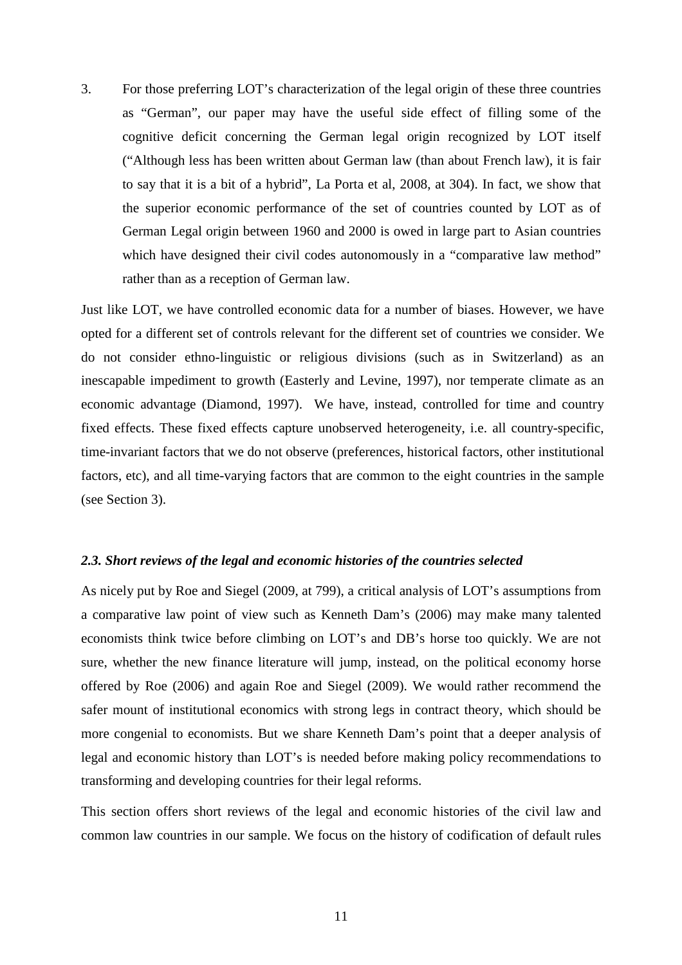3. For those preferring LOT's characterization of the legal origin of these three countries as "German", our paper may have the useful side effect of filling some of the cognitive deficit concerning the German legal origin recognized by LOT itself ("Although less has been written about German law (than about French law), it is fair to say that it is a bit of a hybrid", La Porta et al, 2008, at 304). In fact, we show that the superior economic performance of the set of countries counted by LOT as of German Legal origin between 1960 and 2000 is owed in large part to Asian countries which have designed their civil codes autonomously in a "comparative law method" rather than as a reception of German law.

Just like LOT, we have controlled economic data for a number of biases. However, we have opted for a different set of controls relevant for the different set of countries we consider. We do not consider ethno-linguistic or religious divisions (such as in Switzerland) as an inescapable impediment to growth (Easterly and Levine, 1997), nor temperate climate as an economic advantage (Diamond, 1997). We have, instead, controlled for time and country fixed effects. These fixed effects capture unobserved heterogeneity, i.e. all country-specific, time-invariant factors that we do not observe (preferences, historical factors, other institutional factors, etc), and all time-varying factors that are common to the eight countries in the sample (see Section 3).

## *2.3. Short reviews of the legal and economic histories of the countries selected*

As nicely put by Roe and Siegel (2009, at 799), a critical analysis of LOT's assumptions from a comparative law point of view such as Kenneth Dam's (2006) may make many talented economists think twice before climbing on LOT's and DB's horse too quickly. We are not sure, whether the new finance literature will jump, instead, on the political economy horse offered by Roe (2006) and again Roe and Siegel (2009). We would rather recommend the safer mount of institutional economics with strong legs in contract theory, which should be more congenial to economists. But we share Kenneth Dam's point that a deeper analysis of legal and economic history than LOT's is needed before making policy recommendations to transforming and developing countries for their legal reforms.

This section offers short reviews of the legal and economic histories of the civil law and common law countries in our sample. We focus on the history of codification of default rules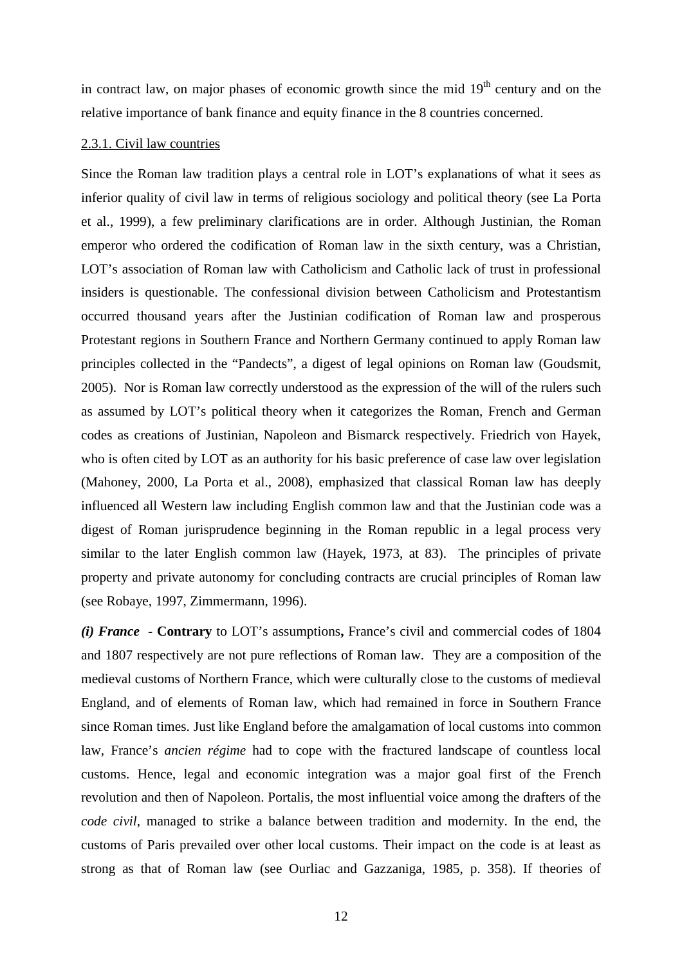in contract law, on major phases of economic growth since the mid  $19<sup>th</sup>$  century and on the relative importance of bank finance and equity finance in the 8 countries concerned.

#### 2.3.1. Civil law countries

Since the Roman law tradition plays a central role in LOT's explanations of what it sees as inferior quality of civil law in terms of religious sociology and political theory (see La Porta et al., 1999), a few preliminary clarifications are in order. Although Justinian, the Roman emperor who ordered the codification of Roman law in the sixth century, was a Christian, LOT's association of Roman law with Catholicism and Catholic lack of trust in professional insiders is questionable. The confessional division between Catholicism and Protestantism occurred thousand years after the Justinian codification of Roman law and prosperous Protestant regions in Southern France and Northern Germany continued to apply Roman law principles collected in the "Pandects", a digest of legal opinions on Roman law (Goudsmit, 2005). Nor is Roman law correctly understood as the expression of the will of the rulers such as assumed by LOT's political theory when it categorizes the Roman, French and German codes as creations of Justinian, Napoleon and Bismarck respectively. Friedrich von Hayek, who is often cited by LOT as an authority for his basic preference of case law over legislation (Mahoney, 2000, La Porta et al., 2008), emphasized that classical Roman law has deeply influenced all Western law including English common law and that the Justinian code was a digest of Roman jurisprudence beginning in the Roman republic in a legal process very similar to the later English common law (Hayek, 1973, at 83). The principles of private property and private autonomy for concluding contracts are crucial principles of Roman law (see Robaye, 1997, Zimmermann, 1996).

*(i) France -* **Contrary** to LOT's assumptions**,** France's civil and commercial codes of 1804 and 1807 respectively are not pure reflections of Roman law. They are a composition of the medieval customs of Northern France, which were culturally close to the customs of medieval England, and of elements of Roman law, which had remained in force in Southern France since Roman times. Just like England before the amalgamation of local customs into common law, France's *ancien régime* had to cope with the fractured landscape of countless local customs. Hence, legal and economic integration was a major goal first of the French revolution and then of Napoleon. Portalis, the most influential voice among the drafters of the *code civil*, managed to strike a balance between tradition and modernity. In the end, the customs of Paris prevailed over other local customs. Their impact on the code is at least as strong as that of Roman law (see Ourliac and Gazzaniga, 1985, p. 358). If theories of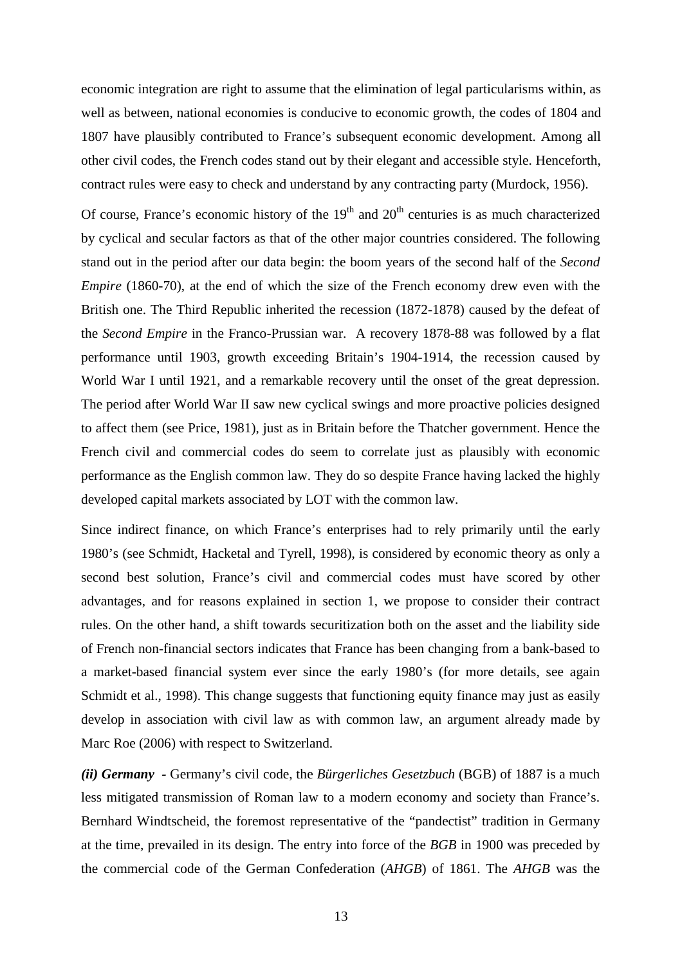economic integration are right to assume that the elimination of legal particularisms within, as well as between, national economies is conducive to economic growth, the codes of 1804 and 1807 have plausibly contributed to France's subsequent economic development. Among all other civil codes, the French codes stand out by their elegant and accessible style. Henceforth, contract rules were easy to check and understand by any contracting party (Murdock, 1956).

Of course, France's economic history of the  $19<sup>th</sup>$  and  $20<sup>th</sup>$  centuries is as much characterized by cyclical and secular factors as that of the other major countries considered. The following stand out in the period after our data begin: the boom years of the second half of the *Second Empire* (1860-70), at the end of which the size of the French economy drew even with the British one. The Third Republic inherited the recession (1872-1878) caused by the defeat of the *Second Empire* in the Franco-Prussian war. A recovery 1878-88 was followed by a flat performance until 1903, growth exceeding Britain's 1904-1914, the recession caused by World War I until 1921, and a remarkable recovery until the onset of the great depression. The period after World War II saw new cyclical swings and more proactive policies designed to affect them (see Price, 1981), just as in Britain before the Thatcher government. Hence the French civil and commercial codes do seem to correlate just as plausibly with economic performance as the English common law. They do so despite France having lacked the highly developed capital markets associated by LOT with the common law.

Since indirect finance, on which France's enterprises had to rely primarily until the early 1980's (see Schmidt, Hacketal and Tyrell, 1998), is considered by economic theory as only a second best solution, France's civil and commercial codes must have scored by other advantages, and for reasons explained in section 1, we propose to consider their contract rules. On the other hand, a shift towards securitization both on the asset and the liability side of French non-financial sectors indicates that France has been changing from a bank-based to a market-based financial system ever since the early 1980's (for more details, see again Schmidt et al., 1998). This change suggests that functioning equity finance may just as easily develop in association with civil law as with common law, an argument already made by Marc Roe (2006) with respect to Switzerland.

*(ii) Germany -* Germany's civil code, the *Bürgerliches Gesetzbuch* (BGB) of 1887 is a much less mitigated transmission of Roman law to a modern economy and society than France's. Bernhard Windtscheid, the foremost representative of the "pandectist" tradition in Germany at the time, prevailed in its design. The entry into force of the *BGB* in 1900 was preceded by the commercial code of the German Confederation (*AHGB*) of 1861. The *AHGB* was the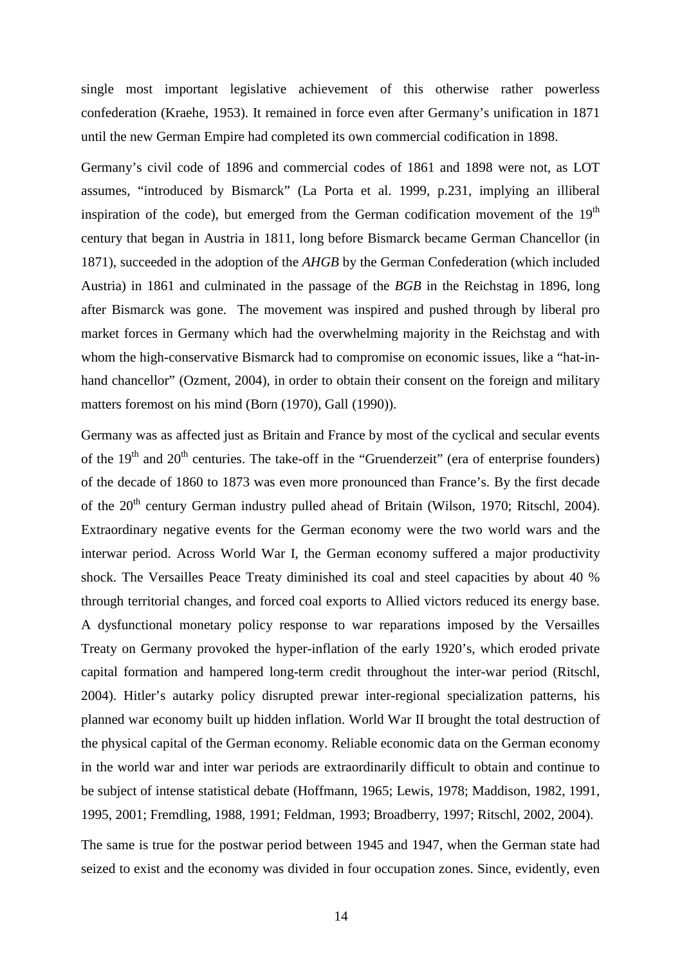single most important legislative achievement of this otherwise rather powerless confederation (Kraehe, 1953). It remained in force even after Germany's unification in 1871 until the new German Empire had completed its own commercial codification in 1898.

Germany's civil code of 1896 and commercial codes of 1861 and 1898 were not, as LOT assumes, "introduced by Bismarck" (La Porta et al. 1999, p.231, implying an illiberal inspiration of the code), but emerged from the German codification movement of the  $19<sup>th</sup>$ century that began in Austria in 1811, long before Bismarck became German Chancellor (in 1871), succeeded in the adoption of the *AHGB* by the German Confederation (which included Austria) in 1861 and culminated in the passage of the *BGB* in the Reichstag in 1896, long after Bismarck was gone. The movement was inspired and pushed through by liberal pro market forces in Germany which had the overwhelming majority in the Reichstag and with whom the high-conservative Bismarck had to compromise on economic issues, like a "hat-inhand chancellor" (Ozment, 2004), in order to obtain their consent on the foreign and military matters foremost on his mind (Born (1970), Gall (1990)).

Germany was as affected just as Britain and France by most of the cyclical and secular events of the  $19<sup>th</sup>$  and  $20<sup>th</sup>$  centuries. The take-off in the "Gruenderzeit" (era of enterprise founders) of the decade of 1860 to 1873 was even more pronounced than France's. By the first decade of the 20<sup>th</sup> century German industry pulled ahead of Britain (Wilson, 1970; Ritschl, 2004). Extraordinary negative events for the German economy were the two world wars and the interwar period. Across World War I, the German economy suffered a major productivity shock. The Versailles Peace Treaty diminished its coal and steel capacities by about 40 % through territorial changes, and forced coal exports to Allied victors reduced its energy base. A dysfunctional monetary policy response to war reparations imposed by the Versailles Treaty on Germany provoked the hyper-inflation of the early 1920's, which eroded private capital formation and hampered long-term credit throughout the inter-war period (Ritschl, 2004). Hitler's autarky policy disrupted prewar inter-regional specialization patterns, his planned war economy built up hidden inflation. World War II brought the total destruction of the physical capital of the German economy. Reliable economic data on the German economy in the world war and inter war periods are extraordinarily difficult to obtain and continue to be subject of intense statistical debate (Hoffmann, 1965; Lewis, 1978; Maddison, 1982, 1991, 1995, 2001; Fremdling, 1988, 1991; Feldman, 1993; Broadberry, 1997; Ritschl, 2002, 2004).

The same is true for the postwar period between 1945 and 1947, when the German state had seized to exist and the economy was divided in four occupation zones. Since, evidently, even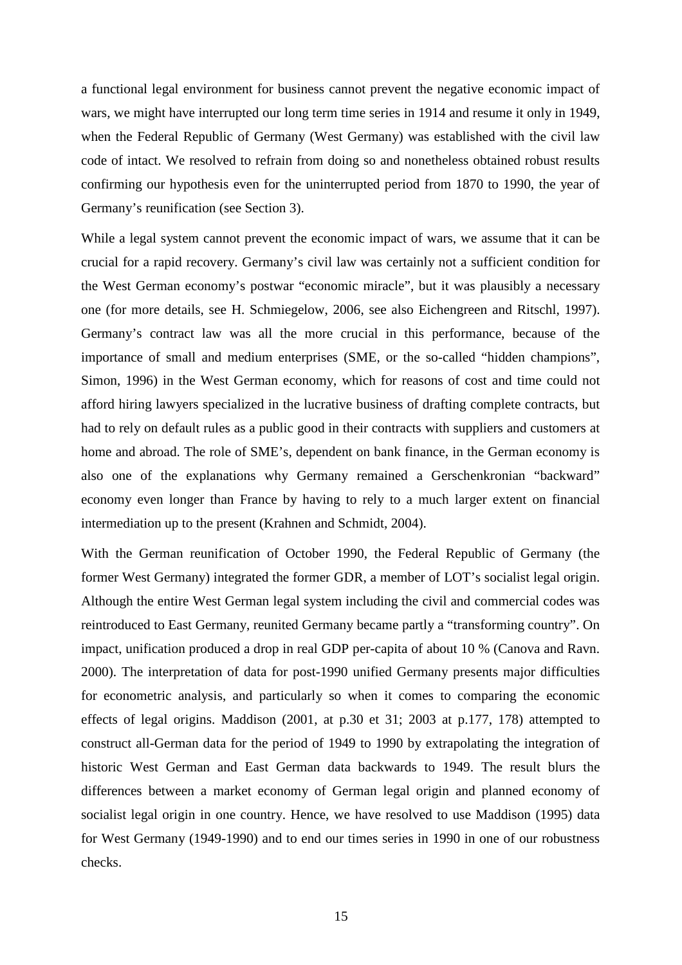a functional legal environment for business cannot prevent the negative economic impact of wars, we might have interrupted our long term time series in 1914 and resume it only in 1949, when the Federal Republic of Germany (West Germany) was established with the civil law code of intact. We resolved to refrain from doing so and nonetheless obtained robust results confirming our hypothesis even for the uninterrupted period from 1870 to 1990, the year of Germany's reunification (see Section 3).

While a legal system cannot prevent the economic impact of wars, we assume that it can be crucial for a rapid recovery. Germany's civil law was certainly not a sufficient condition for the West German economy's postwar "economic miracle", but it was plausibly a necessary one (for more details, see H. Schmiegelow, 2006, see also Eichengreen and Ritschl, 1997). Germany's contract law was all the more crucial in this performance, because of the importance of small and medium enterprises (SME, or the so-called "hidden champions", Simon, 1996) in the West German economy, which for reasons of cost and time could not afford hiring lawyers specialized in the lucrative business of drafting complete contracts, but had to rely on default rules as a public good in their contracts with suppliers and customers at home and abroad. The role of SME's, dependent on bank finance, in the German economy is also one of the explanations why Germany remained a Gerschenkronian "backward" economy even longer than France by having to rely to a much larger extent on financial intermediation up to the present (Krahnen and Schmidt, 2004).

With the German reunification of October 1990, the Federal Republic of Germany (the former West Germany) integrated the former GDR, a member of LOT's socialist legal origin. Although the entire West German legal system including the civil and commercial codes was reintroduced to East Germany, reunited Germany became partly a "transforming country". On impact, unification produced a drop in real GDP per-capita of about 10 % (Canova and Ravn. 2000). The interpretation of data for post-1990 unified Germany presents major difficulties for econometric analysis, and particularly so when it comes to comparing the economic effects of legal origins. Maddison (2001, at p.30 et 31; 2003 at p.177, 178) attempted to construct all-German data for the period of 1949 to 1990 by extrapolating the integration of historic West German and East German data backwards to 1949. The result blurs the differences between a market economy of German legal origin and planned economy of socialist legal origin in one country. Hence, we have resolved to use Maddison (1995) data for West Germany (1949-1990) and to end our times series in 1990 in one of our robustness checks.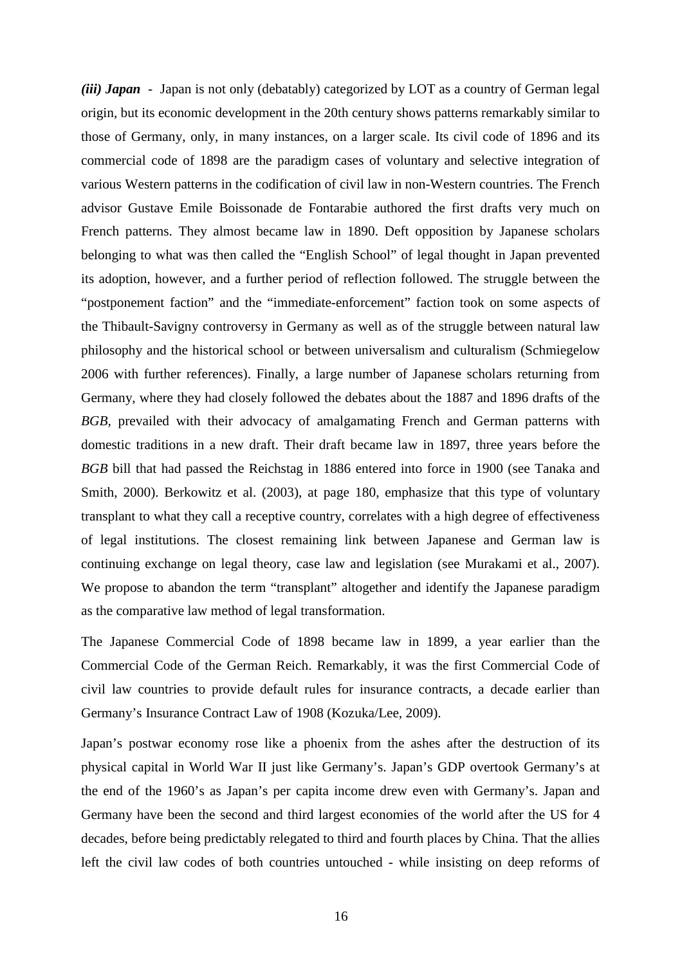*(iii) Japan* - Japan is not only (debatably) categorized by LOT as a country of German legal origin, but its economic development in the 20th century shows patterns remarkably similar to those of Germany, only, in many instances, on a larger scale. Its civil code of 1896 and its commercial code of 1898 are the paradigm cases of voluntary and selective integration of various Western patterns in the codification of civil law in non-Western countries. The French advisor Gustave Emile Boissonade de Fontarabie authored the first drafts very much on French patterns. They almost became law in 1890. Deft opposition by Japanese scholars belonging to what was then called the "English School" of legal thought in Japan prevented its adoption, however, and a further period of reflection followed. The struggle between the "postponement faction" and the "immediate-enforcement" faction took on some aspects of the Thibault-Savigny controversy in Germany as well as of the struggle between natural law philosophy and the historical school or between universalism and culturalism (Schmiegelow 2006 with further references). Finally, a large number of Japanese scholars returning from Germany, where they had closely followed the debates about the 1887 and 1896 drafts of the *BGB,* prevailed with their advocacy of amalgamating French and German patterns with domestic traditions in a new draft. Their draft became law in 1897, three years before the *BGB* bill that had passed the Reichstag in 1886 entered into force in 1900 (see Tanaka and Smith, 2000). Berkowitz et al. (2003), at page 180, emphasize that this type of voluntary transplant to what they call a receptive country, correlates with a high degree of effectiveness of legal institutions. The closest remaining link between Japanese and German law is continuing exchange on legal theory, case law and legislation (see Murakami et al., 2007). We propose to abandon the term "transplant" altogether and identify the Japanese paradigm as the comparative law method of legal transformation.

The Japanese Commercial Code of 1898 became law in 1899, a year earlier than the Commercial Code of the German Reich. Remarkably, it was the first Commercial Code of civil law countries to provide default rules for insurance contracts, a decade earlier than Germany's Insurance Contract Law of 1908 (Kozuka/Lee, 2009).

Japan's postwar economy rose like a phoenix from the ashes after the destruction of its physical capital in World War II just like Germany's. Japan's GDP overtook Germany's at the end of the 1960's as Japan's per capita income drew even with Germany's. Japan and Germany have been the second and third largest economies of the world after the US for 4 decades, before being predictably relegated to third and fourth places by China. That the allies left the civil law codes of both countries untouched - while insisting on deep reforms of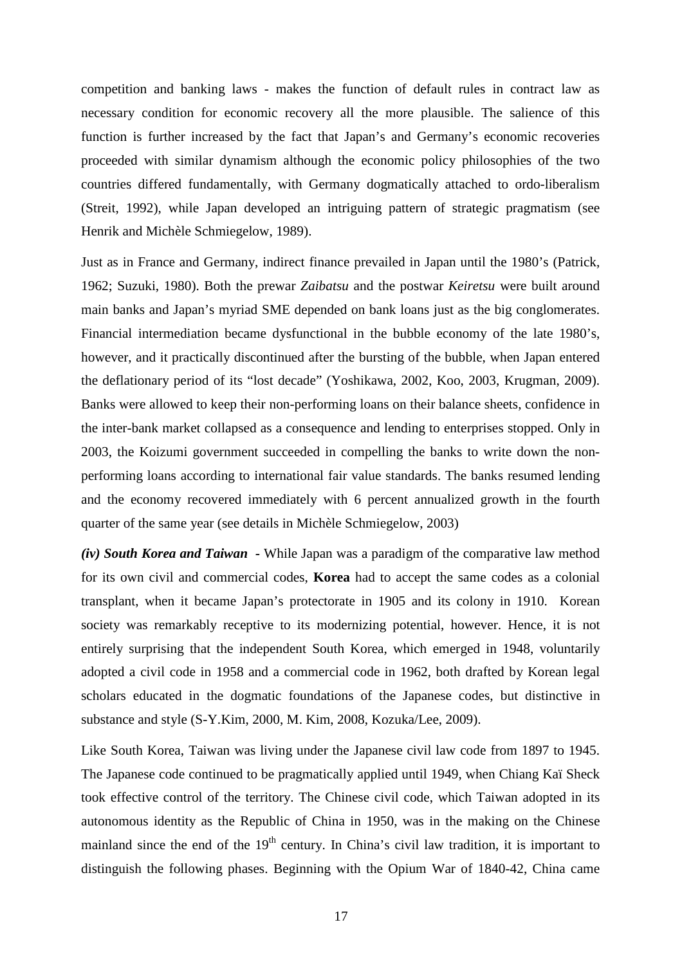competition and banking laws - makes the function of default rules in contract law as necessary condition for economic recovery all the more plausible. The salience of this function is further increased by the fact that Japan's and Germany's economic recoveries proceeded with similar dynamism although the economic policy philosophies of the two countries differed fundamentally, with Germany dogmatically attached to ordo-liberalism (Streit, 1992), while Japan developed an intriguing pattern of strategic pragmatism (see Henrik and Michèle Schmiegelow, 1989).

Just as in France and Germany, indirect finance prevailed in Japan until the 1980's (Patrick, 1962; Suzuki, 1980). Both the prewar *Zaibatsu* and the postwar *Keiretsu* were built around main banks and Japan's myriad SME depended on bank loans just as the big conglomerates. Financial intermediation became dysfunctional in the bubble economy of the late 1980's, however, and it practically discontinued after the bursting of the bubble, when Japan entered the deflationary period of its "lost decade" (Yoshikawa, 2002, Koo, 2003, Krugman, 2009). Banks were allowed to keep their non-performing loans on their balance sheets, confidence in the inter-bank market collapsed as a consequence and lending to enterprises stopped. Only in 2003, the Koizumi government succeeded in compelling the banks to write down the nonperforming loans according to international fair value standards. The banks resumed lending and the economy recovered immediately with 6 percent annualized growth in the fourth quarter of the same year (see details in Michèle Schmiegelow, 2003)

*(iv) South Korea and Taiwan -* While Japan was a paradigm of the comparative law method for its own civil and commercial codes, **Korea** had to accept the same codes as a colonial transplant, when it became Japan's protectorate in 1905 and its colony in 1910. Korean society was remarkably receptive to its modernizing potential, however. Hence, it is not entirely surprising that the independent South Korea, which emerged in 1948, voluntarily adopted a civil code in 1958 and a commercial code in 1962, both drafted by Korean legal scholars educated in the dogmatic foundations of the Japanese codes, but distinctive in substance and style (S-Y.Kim, 2000, M. Kim, 2008, Kozuka/Lee, 2009).

Like South Korea, Taiwan was living under the Japanese civil law code from 1897 to 1945. The Japanese code continued to be pragmatically applied until 1949, when Chiang Kaï Sheck took effective control of the territory. The Chinese civil code, which Taiwan adopted in its autonomous identity as the Republic of China in 1950, was in the making on the Chinese mainland since the end of the  $19<sup>th</sup>$  century. In China's civil law tradition, it is important to distinguish the following phases. Beginning with the Opium War of 1840-42, China came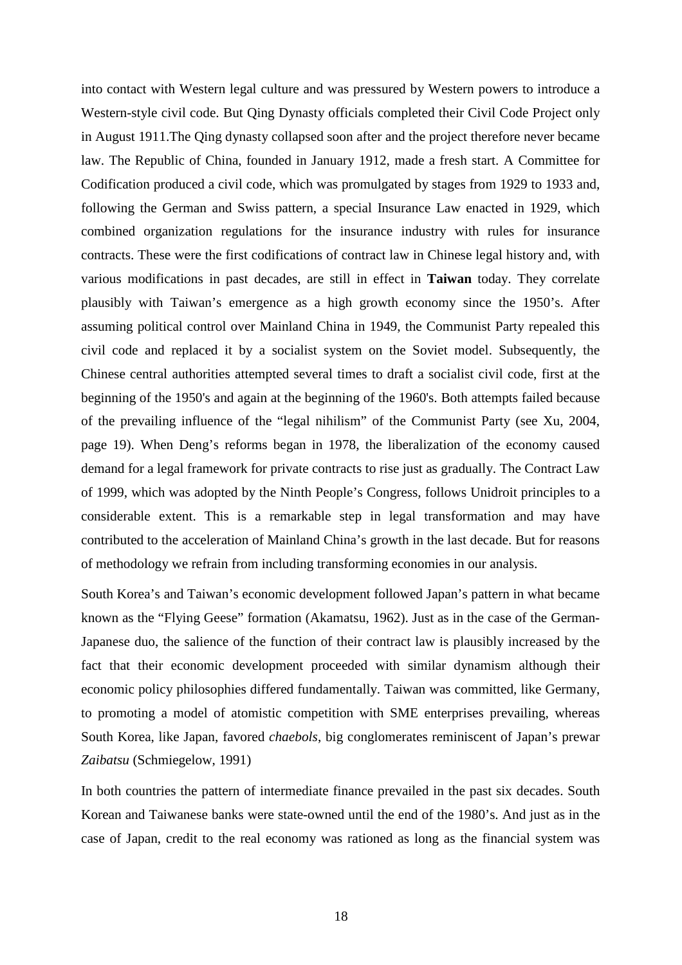into contact with Western legal culture and was pressured by Western powers to introduce a Western-style civil code. But Qing Dynasty officials completed their Civil Code Project only in August 1911.The Qing dynasty collapsed soon after and the project therefore never became law. The Republic of China, founded in January 1912, made a fresh start. A Committee for Codification produced a civil code, which was promulgated by stages from 1929 to 1933 and, following the German and Swiss pattern, a special Insurance Law enacted in 1929, which combined organization regulations for the insurance industry with rules for insurance contracts. These were the first codifications of contract law in Chinese legal history and, with various modifications in past decades, are still in effect in **Taiwan** today. They correlate plausibly with Taiwan's emergence as a high growth economy since the 1950's. After assuming political control over Mainland China in 1949, the Communist Party repealed this civil code and replaced it by a socialist system on the Soviet model. Subsequently, the Chinese central authorities attempted several times to draft a socialist civil code, first at the beginning of the 1950's and again at the beginning of the 1960's. Both attempts failed because of the prevailing influence of the "legal nihilism" of the Communist Party (see Xu, 2004, page 19). When Deng's reforms began in 1978, the liberalization of the economy caused demand for a legal framework for private contracts to rise just as gradually. The Contract Law of 1999, which was adopted by the Ninth People's Congress, follows Unidroit principles to a considerable extent. This is a remarkable step in legal transformation and may have contributed to the acceleration of Mainland China's growth in the last decade. But for reasons of methodology we refrain from including transforming economies in our analysis.

South Korea's and Taiwan's economic development followed Japan's pattern in what became known as the "Flying Geese" formation (Akamatsu, 1962). Just as in the case of the German-Japanese duo, the salience of the function of their contract law is plausibly increased by the fact that their economic development proceeded with similar dynamism although their economic policy philosophies differed fundamentally. Taiwan was committed, like Germany, to promoting a model of atomistic competition with SME enterprises prevailing, whereas South Korea, like Japan, favored *chaebols*, big conglomerates reminiscent of Japan's prewar *Zaibatsu* (Schmiegelow, 1991)

In both countries the pattern of intermediate finance prevailed in the past six decades. South Korean and Taiwanese banks were state-owned until the end of the 1980's. And just as in the case of Japan, credit to the real economy was rationed as long as the financial system was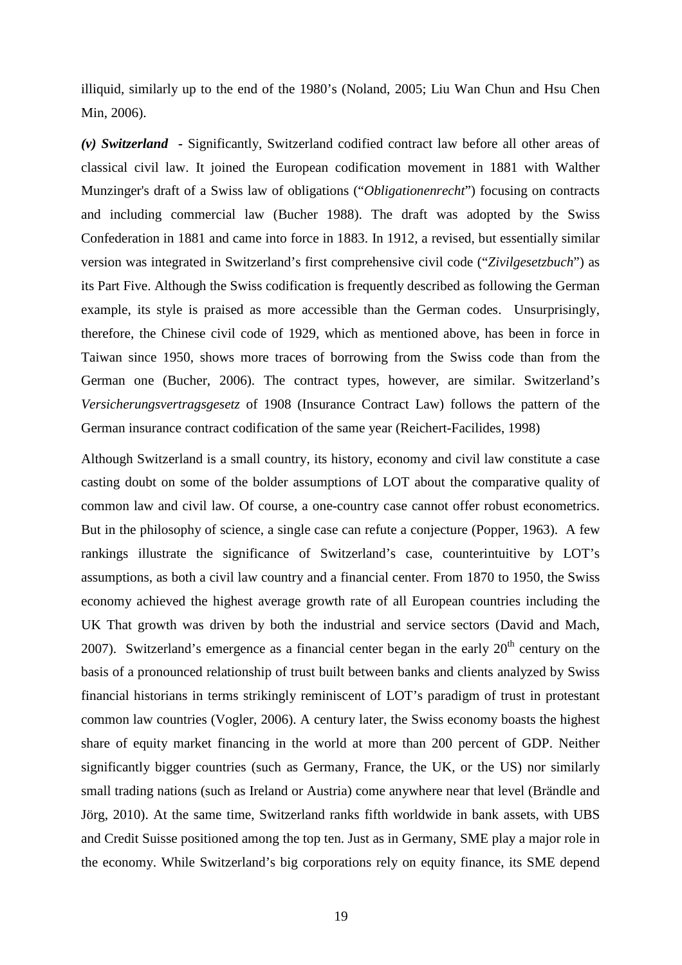illiquid, similarly up to the end of the 1980's (Noland, 2005; Liu Wan Chun and Hsu Chen Min, 2006).

*(v) Switzerland -* Significantly, Switzerland codified contract law before all other areas of classical civil law. It joined the European codification movement in 1881 with Walther Munzinger's draft of a Swiss law of obligations ("*Obligationenrecht*") focusing on contracts and including commercial law (Bucher 1988). The draft was adopted by the Swiss Confederation in 1881 and came into force in 1883. In 1912, a revised, but essentially similar version was integrated in Switzerland's first comprehensive civil code ("*Zivilgesetzbuch*") as its Part Five. Although the Swiss codification is frequently described as following the German example, its style is praised as more accessible than the German codes. Unsurprisingly, therefore, the Chinese civil code of 1929, which as mentioned above, has been in force in Taiwan since 1950, shows more traces of borrowing from the Swiss code than from the German one (Bucher, 2006). The contract types, however, are similar. Switzerland's *Versicherungsvertragsgesetz* of 1908 (Insurance Contract Law) follows the pattern of the German insurance contract codification of the same year (Reichert-Facilides, 1998)

Although Switzerland is a small country, its history, economy and civil law constitute a case casting doubt on some of the bolder assumptions of LOT about the comparative quality of common law and civil law. Of course, a one-country case cannot offer robust econometrics. But in the philosophy of science, a single case can refute a conjecture (Popper, 1963). A few rankings illustrate the significance of Switzerland's case, counterintuitive by LOT's assumptions, as both a civil law country and a financial center. From 1870 to 1950, the Swiss economy achieved the highest average growth rate of all European countries including the UK That growth was driven by both the industrial and service sectors (David and Mach, 2007). Switzerland's emergence as a financial center began in the early  $20<sup>th</sup>$  century on the basis of a pronounced relationship of trust built between banks and clients analyzed by Swiss financial historians in terms strikingly reminiscent of LOT's paradigm of trust in protestant common law countries (Vogler, 2006). A century later, the Swiss economy boasts the highest share of equity market financing in the world at more than 200 percent of GDP. Neither significantly bigger countries (such as Germany, France, the UK, or the US) nor similarly small trading nations (such as Ireland or Austria) come anywhere near that level (Brändle and Jörg, 2010). At the same time, Switzerland ranks fifth worldwide in bank assets, with UBS and Credit Suisse positioned among the top ten. Just as in Germany, SME play a major role in the economy. While Switzerland's big corporations rely on equity finance, its SME depend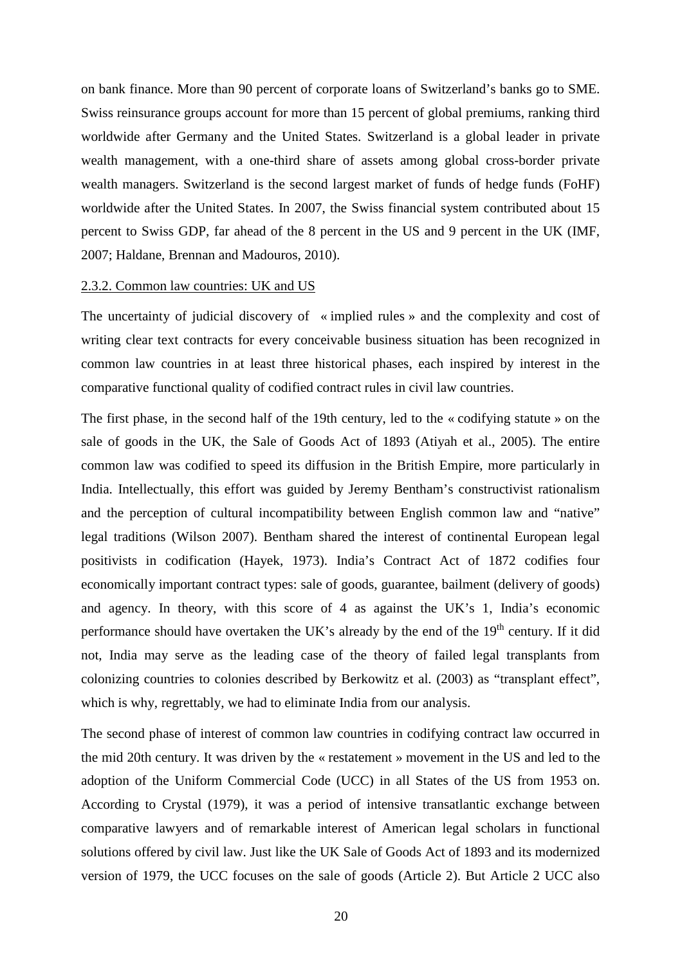on bank finance. More than 90 percent of corporate loans of Switzerland's banks go to SME. Swiss reinsurance groups account for more than 15 percent of global premiums, ranking third worldwide after Germany and the United States. Switzerland is a global leader in private wealth management, with a one-third share of assets among global cross-border private wealth managers. Switzerland is the second largest market of funds of hedge funds (FoHF) worldwide after the United States. In 2007, the Swiss financial system contributed about 15 percent to Swiss GDP, far ahead of the 8 percent in the US and 9 percent in the UK (IMF, 2007; Haldane, Brennan and Madouros, 2010).

#### 2.3.2. Common law countries: UK and US

The uncertainty of judicial discovery of « implied rules » and the complexity and cost of writing clear text contracts for every conceivable business situation has been recognized in common law countries in at least three historical phases, each inspired by interest in the comparative functional quality of codified contract rules in civil law countries.

The first phase, in the second half of the 19th century, led to the « codifying statute » on the sale of goods in the UK, the Sale of Goods Act of 1893 (Atiyah et al., 2005). The entire common law was codified to speed its diffusion in the British Empire, more particularly in India. Intellectually, this effort was guided by Jeremy Bentham's constructivist rationalism and the perception of cultural incompatibility between English common law and "native" legal traditions (Wilson 2007). Bentham shared the interest of continental European legal positivists in codification (Hayek, 1973). India's Contract Act of 1872 codifies four economically important contract types: sale of goods, guarantee, bailment (delivery of goods) and agency. In theory, with this score of 4 as against the UK's 1, India's economic performance should have overtaken the UK's already by the end of the  $19<sup>th</sup>$  century. If it did not, India may serve as the leading case of the theory of failed legal transplants from colonizing countries to colonies described by Berkowitz et al. (2003) as "transplant effect", which is why, regrettably, we had to eliminate India from our analysis.

The second phase of interest of common law countries in codifying contract law occurred in the mid 20th century. It was driven by the « restatement » movement in the US and led to the adoption of the Uniform Commercial Code (UCC) in all States of the US from 1953 on. According to Crystal (1979), it was a period of intensive transatlantic exchange between comparative lawyers and of remarkable interest of American legal scholars in functional solutions offered by civil law. Just like the UK Sale of Goods Act of 1893 and its modernized version of 1979, the UCC focuses on the sale of goods (Article 2). But Article 2 UCC also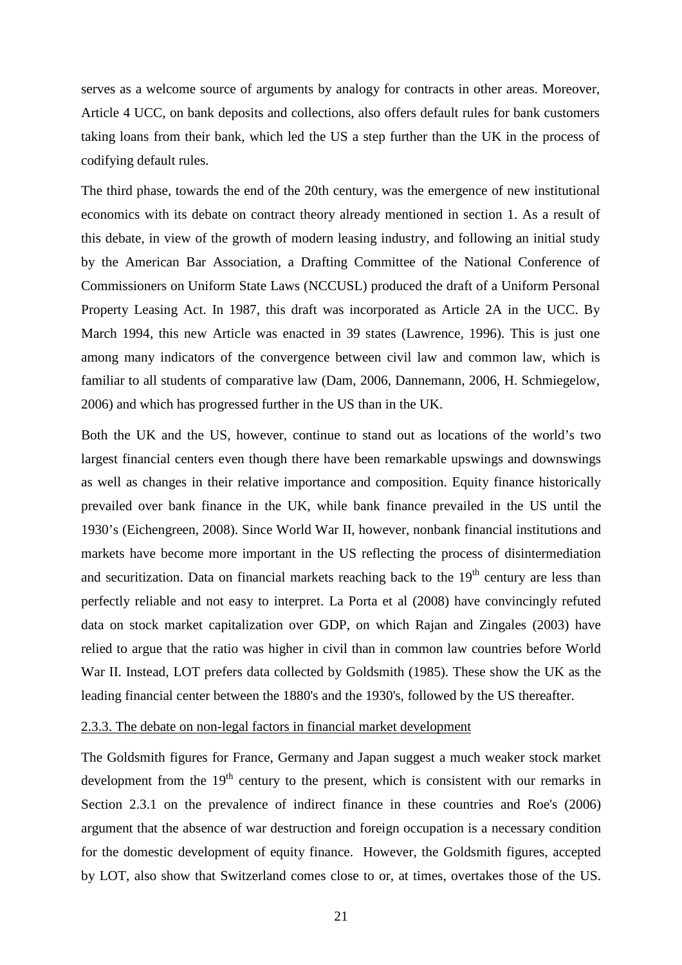serves as a welcome source of arguments by analogy for contracts in other areas. Moreover, Article 4 UCC, on bank deposits and collections, also offers default rules for bank customers taking loans from their bank, which led the US a step further than the UK in the process of codifying default rules.

The third phase, towards the end of the 20th century, was the emergence of new institutional economics with its debate on contract theory already mentioned in section 1. As a result of this debate, in view of the growth of modern leasing industry, and following an initial study by the American Bar Association, a Drafting Committee of the National Conference of Commissioners on Uniform State Laws (NCCUSL) produced the draft of a Uniform Personal Property Leasing Act. In 1987, this draft was incorporated as Article 2A in the UCC. By March 1994, this new Article was enacted in 39 states (Lawrence, 1996). This is just one among many indicators of the convergence between civil law and common law, which is familiar to all students of comparative law (Dam, 2006, Dannemann, 2006, H. Schmiegelow, 2006) and which has progressed further in the US than in the UK.

Both the UK and the US, however, continue to stand out as locations of the world's two largest financial centers even though there have been remarkable upswings and downswings as well as changes in their relative importance and composition. Equity finance historically prevailed over bank finance in the UK, while bank finance prevailed in the US until the 1930's (Eichengreen, 2008). Since World War II, however, nonbank financial institutions and markets have become more important in the US reflecting the process of disintermediation and securitization. Data on financial markets reaching back to the  $19<sup>th</sup>$  century are less than perfectly reliable and not easy to interpret. La Porta et al (2008) have convincingly refuted data on stock market capitalization over GDP, on which Rajan and Zingales (2003) have relied to argue that the ratio was higher in civil than in common law countries before World War II. Instead, LOT prefers data collected by Goldsmith (1985). These show the UK as the leading financial center between the 1880's and the 1930's, followed by the US thereafter.

# 2.3.3. The debate on non-legal factors in financial market development

The Goldsmith figures for France, Germany and Japan suggest a much weaker stock market development from the  $19<sup>th</sup>$  century to the present, which is consistent with our remarks in Section 2.3.1 on the prevalence of indirect finance in these countries and Roe's (2006) argument that the absence of war destruction and foreign occupation is a necessary condition for the domestic development of equity finance. However, the Goldsmith figures, accepted by LOT, also show that Switzerland comes close to or, at times, overtakes those of the US.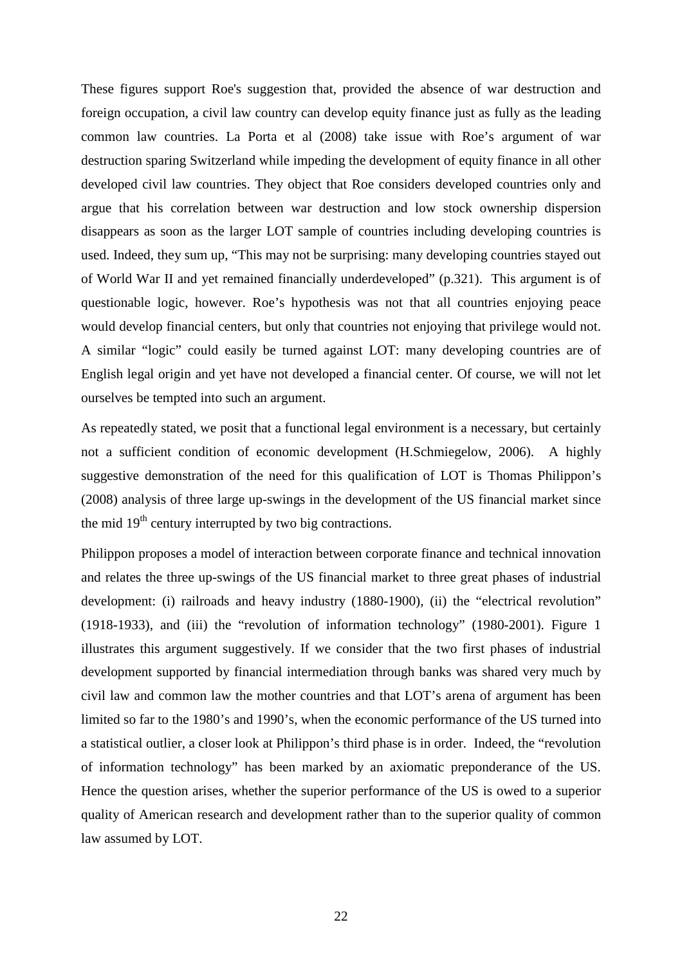These figures support Roe's suggestion that, provided the absence of war destruction and foreign occupation, a civil law country can develop equity finance just as fully as the leading common law countries. La Porta et al (2008) take issue with Roe's argument of war destruction sparing Switzerland while impeding the development of equity finance in all other developed civil law countries. They object that Roe considers developed countries only and argue that his correlation between war destruction and low stock ownership dispersion disappears as soon as the larger LOT sample of countries including developing countries is used. Indeed, they sum up, "This may not be surprising: many developing countries stayed out of World War II and yet remained financially underdeveloped" (p.321). This argument is of questionable logic, however. Roe's hypothesis was not that all countries enjoying peace would develop financial centers, but only that countries not enjoying that privilege would not. A similar "logic" could easily be turned against LOT: many developing countries are of English legal origin and yet have not developed a financial center. Of course, we will not let ourselves be tempted into such an argument.

As repeatedly stated, we posit that a functional legal environment is a necessary, but certainly not a sufficient condition of economic development (H.Schmiegelow, 2006). A highly suggestive demonstration of the need for this qualification of LOT is Thomas Philippon's (2008) analysis of three large up-swings in the development of the US financial market since the mid  $19<sup>th</sup>$  century interrupted by two big contractions.

Philippon proposes a model of interaction between corporate finance and technical innovation and relates the three up-swings of the US financial market to three great phases of industrial development: (i) railroads and heavy industry (1880-1900), (ii) the "electrical revolution" (1918-1933), and (iii) the "revolution of information technology" (1980-2001). Figure 1 illustrates this argument suggestively. If we consider that the two first phases of industrial development supported by financial intermediation through banks was shared very much by civil law and common law the mother countries and that LOT's arena of argument has been limited so far to the 1980's and 1990's, when the economic performance of the US turned into a statistical outlier, a closer look at Philippon's third phase is in order. Indeed, the "revolution of information technology" has been marked by an axiomatic preponderance of the US. Hence the question arises, whether the superior performance of the US is owed to a superior quality of American research and development rather than to the superior quality of common law assumed by LOT.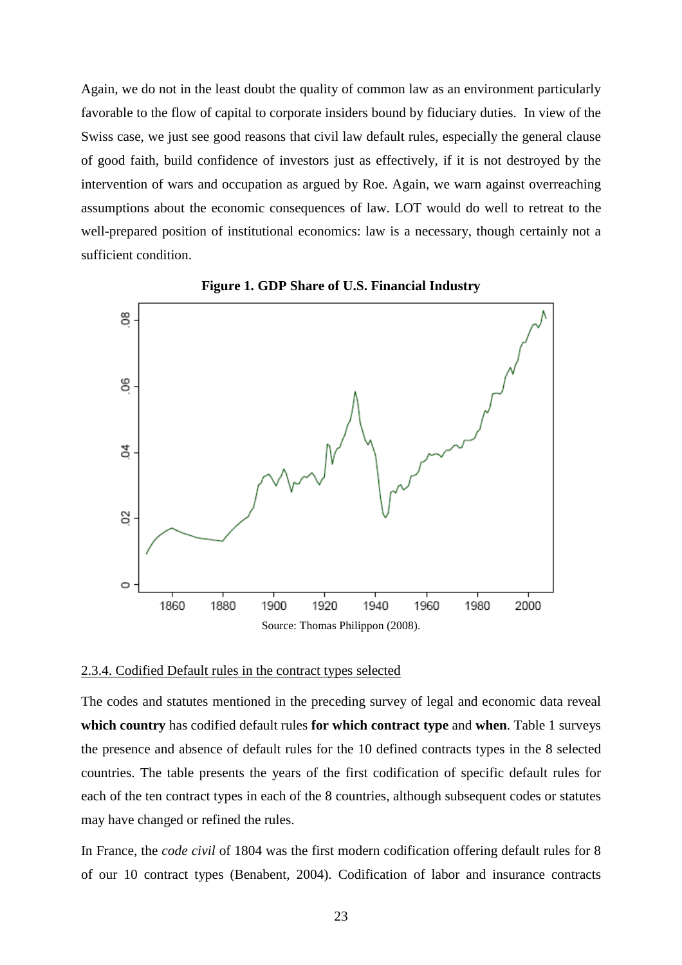Again, we do not in the least doubt the quality of common law as an environment particularly favorable to the flow of capital to corporate insiders bound by fiduciary duties. In view of the Swiss case, we just see good reasons that civil law default rules, especially the general clause of good faith, build confidence of investors just as effectively, if it is not destroyed by the intervention of wars and occupation as argued by Roe. Again, we warn against overreaching assumptions about the economic consequences of law. LOT would do well to retreat to the well-prepared position of institutional economics: law is a necessary, though certainly not a sufficient condition.





### 2.3.4. Codified Default rules in the contract types selected

The codes and statutes mentioned in the preceding survey of legal and economic data reveal **which country** has codified default rules **for which contract type** and **when**. Table 1 surveys the presence and absence of default rules for the 10 defined contracts types in the 8 selected countries. The table presents the years of the first codification of specific default rules for each of the ten contract types in each of the 8 countries, although subsequent codes or statutes may have changed or refined the rules.

In France, the *code civil* of 1804 was the first modern codification offering default rules for 8 of our 10 contract types (Benabent, 2004). Codification of labor and insurance contracts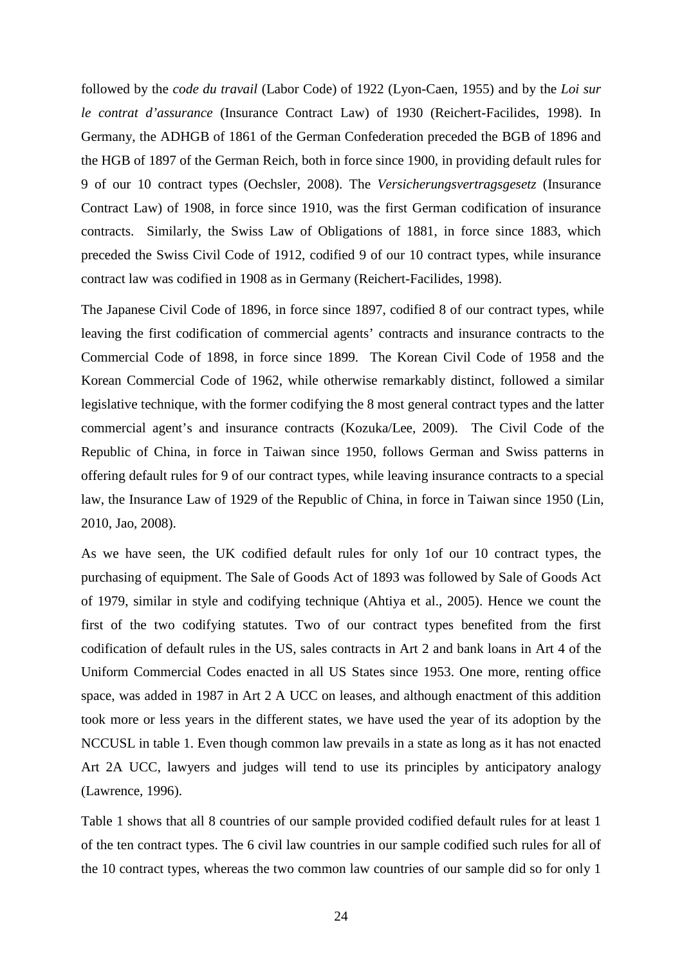followed by the *code du travail* (Labor Code) of 1922 (Lyon-Caen, 1955) and by the *Loi sur le contrat d'assurance* (Insurance Contract Law) of 1930 (Reichert-Facilides, 1998). In Germany, the ADHGB of 1861 of the German Confederation preceded the BGB of 1896 and the HGB of 1897 of the German Reich, both in force since 1900, in providing default rules for 9 of our 10 contract types (Oechsler, 2008). The *Versicherungsvertragsgesetz* (Insurance Contract Law) of 1908, in force since 1910, was the first German codification of insurance contracts. Similarly, the Swiss Law of Obligations of 1881, in force since 1883, which preceded the Swiss Civil Code of 1912, codified 9 of our 10 contract types, while insurance contract law was codified in 1908 as in Germany (Reichert-Facilides, 1998).

The Japanese Civil Code of 1896, in force since 1897, codified 8 of our contract types, while leaving the first codification of commercial agents' contracts and insurance contracts to the Commercial Code of 1898, in force since 1899. The Korean Civil Code of 1958 and the Korean Commercial Code of 1962, while otherwise remarkably distinct, followed a similar legislative technique, with the former codifying the 8 most general contract types and the latter commercial agent's and insurance contracts (Kozuka/Lee, 2009). The Civil Code of the Republic of China, in force in Taiwan since 1950, follows German and Swiss patterns in offering default rules for 9 of our contract types, while leaving insurance contracts to a special law, the Insurance Law of 1929 of the Republic of China, in force in Taiwan since 1950 (Lin, 2010, Jao, 2008).

As we have seen, the UK codified default rules for only 1of our 10 contract types, the purchasing of equipment. The Sale of Goods Act of 1893 was followed by Sale of Goods Act of 1979, similar in style and codifying technique (Ahtiya et al., 2005). Hence we count the first of the two codifying statutes. Two of our contract types benefited from the first codification of default rules in the US, sales contracts in Art 2 and bank loans in Art 4 of the Uniform Commercial Codes enacted in all US States since 1953. One more, renting office space, was added in 1987 in Art 2 A UCC on leases, and although enactment of this addition took more or less years in the different states, we have used the year of its adoption by the NCCUSL in table 1. Even though common law prevails in a state as long as it has not enacted Art 2A UCC, lawyers and judges will tend to use its principles by anticipatory analogy (Lawrence, 1996).

Table 1 shows that all 8 countries of our sample provided codified default rules for at least 1 of the ten contract types. The 6 civil law countries in our sample codified such rules for all of the 10 contract types, whereas the two common law countries of our sample did so for only 1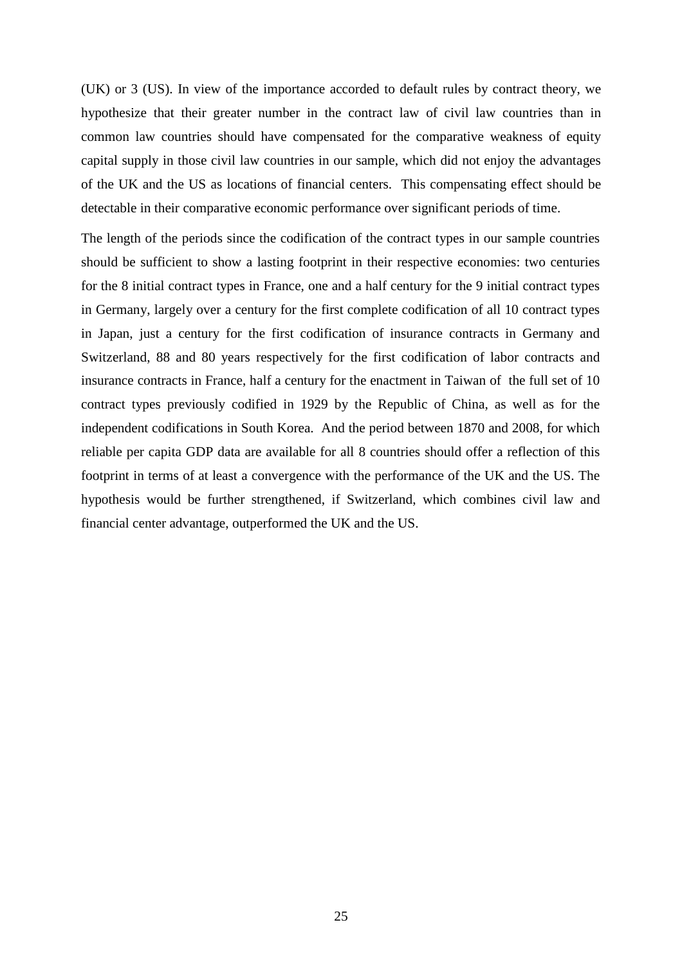(UK) or 3 (US). In view of the importance accorded to default rules by contract theory, we hypothesize that their greater number in the contract law of civil law countries than in common law countries should have compensated for the comparative weakness of equity capital supply in those civil law countries in our sample, which did not enjoy the advantages of the UK and the US as locations of financial centers. This compensating effect should be detectable in their comparative economic performance over significant periods of time.

The length of the periods since the codification of the contract types in our sample countries should be sufficient to show a lasting footprint in their respective economies: two centuries for the 8 initial contract types in France, one and a half century for the 9 initial contract types in Germany, largely over a century for the first complete codification of all 10 contract types in Japan, just a century for the first codification of insurance contracts in Germany and Switzerland, 88 and 80 years respectively for the first codification of labor contracts and insurance contracts in France, half a century for the enactment in Taiwan of the full set of 10 contract types previously codified in 1929 by the Republic of China, as well as for the independent codifications in South Korea. And the period between 1870 and 2008, for which reliable per capita GDP data are available for all 8 countries should offer a reflection of this footprint in terms of at least a convergence with the performance of the UK and the US. The hypothesis would be further strengthened, if Switzerland, which combines civil law and financial center advantage, outperformed the UK and the US.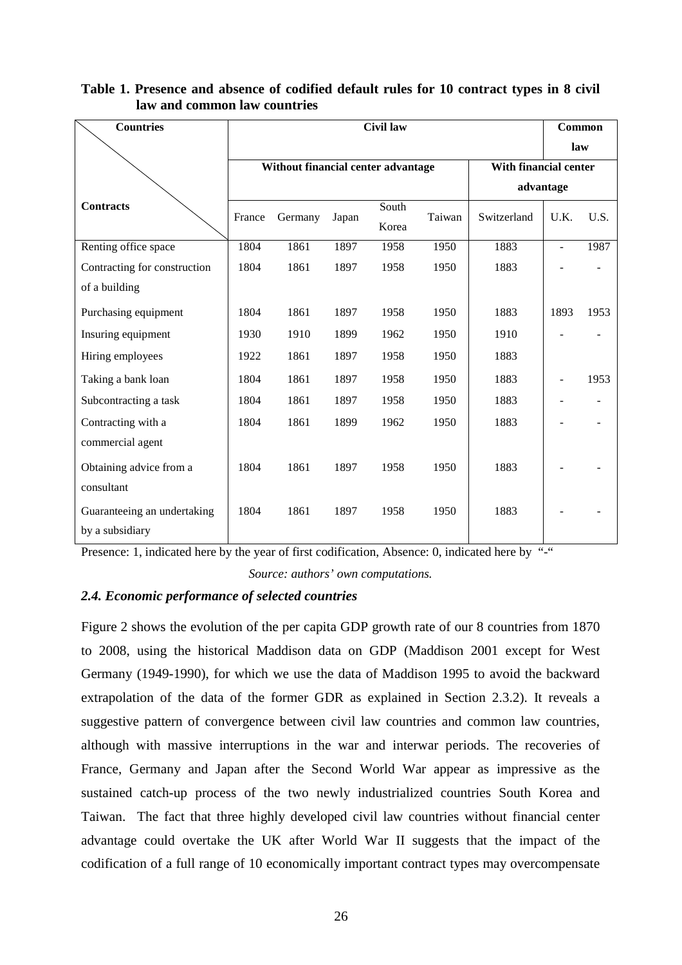| <b>Countries</b>             | <b>Civil law</b> |                                    |       |                       |        |             |                | Common                   |  |
|------------------------------|------------------|------------------------------------|-------|-----------------------|--------|-------------|----------------|--------------------------|--|
|                              |                  |                                    |       |                       |        |             |                | law                      |  |
|                              |                  | Without financial center advantage |       | With financial center |        |             |                |                          |  |
|                              |                  |                                    |       | advantage             |        |             |                |                          |  |
| <b>Contracts</b>             | France           | Germany                            | Japan | South<br>Korea        | Taiwan | Switzerland | U.K.           | U.S.                     |  |
| Renting office space         | 1804             | 1861                               | 1897  | 1958                  | 1950   | 1883        | $\frac{1}{2}$  | 1987                     |  |
| Contracting for construction | 1804             | 1861                               | 1897  | 1958                  | 1950   | 1883        |                |                          |  |
| of a building                |                  |                                    |       |                       |        |             |                |                          |  |
| Purchasing equipment         | 1804             | 1861                               | 1897  | 1958                  | 1950   | 1883        | 1893           | 1953                     |  |
| Insuring equipment           | 1930             | 1910                               | 1899  | 1962                  | 1950   | 1910        |                |                          |  |
| Hiring employees             | 1922             | 1861                               | 1897  | 1958                  | 1950   | 1883        |                |                          |  |
| Taking a bank loan           | 1804             | 1861                               | 1897  | 1958                  | 1950   | 1883        |                | 1953                     |  |
| Subcontracting a task        | 1804             | 1861                               | 1897  | 1958                  | 1950   | 1883        | $\overline{a}$ | $\overline{\phantom{m}}$ |  |
| Contracting with a           | 1804             | 1861                               | 1899  | 1962                  | 1950   | 1883        |                |                          |  |
| commercial agent             |                  |                                    |       |                       |        |             |                |                          |  |
| Obtaining advice from a      | 1804             | 1861                               | 1897  | 1958                  | 1950   | 1883        |                |                          |  |
| consultant                   |                  |                                    |       |                       |        |             |                |                          |  |
| Guaranteeing an undertaking  | 1804             | 1861                               | 1897  | 1958                  | 1950   | 1883        |                |                          |  |
| by a subsidiary              |                  |                                    |       |                       |        |             |                |                          |  |

# **Table 1. Presence and absence of codified default rules for 10 contract types in 8 civil law and common law countries**

Presence: 1, indicated here by the year of first codification, Absence: 0, indicated here by "-" *Source: authors' own computations.* 

# *2.4. Economic performance of selected countries*

Figure 2 shows the evolution of the per capita GDP growth rate of our 8 countries from 1870 to 2008, using the historical Maddison data on GDP (Maddison 2001 except for West Germany (1949-1990), for which we use the data of Maddison 1995 to avoid the backward extrapolation of the data of the former GDR as explained in Section 2.3.2). It reveals a suggestive pattern of convergence between civil law countries and common law countries, although with massive interruptions in the war and interwar periods. The recoveries of France, Germany and Japan after the Second World War appear as impressive as the sustained catch-up process of the two newly industrialized countries South Korea and Taiwan. The fact that three highly developed civil law countries without financial center advantage could overtake the UK after World War II suggests that the impact of the codification of a full range of 10 economically important contract types may overcompensate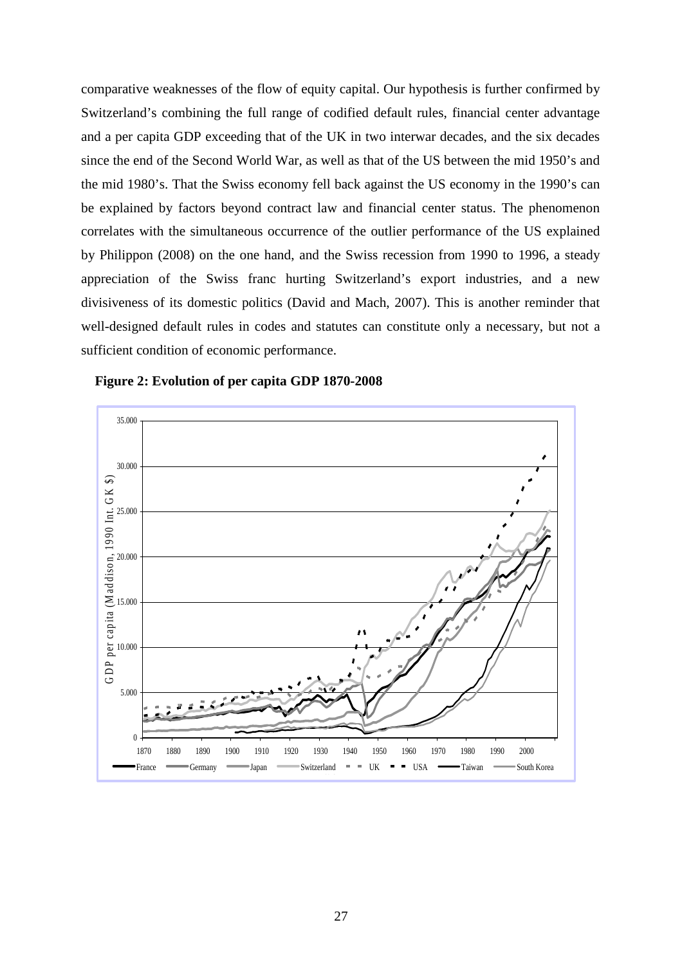comparative weaknesses of the flow of equity capital. Our hypothesis is further confirmed by Switzerland's combining the full range of codified default rules, financial center advantage and a per capita GDP exceeding that of the UK in two interwar decades, and the six decades since the end of the Second World War, as well as that of the US between the mid 1950's and the mid 1980's. That the Swiss economy fell back against the US economy in the 1990's can be explained by factors beyond contract law and financial center status. The phenomenon correlates with the simultaneous occurrence of the outlier performance of the US explained by Philippon (2008) on the one hand, and the Swiss recession from 1990 to 1996, a steady appreciation of the Swiss franc hurting Switzerland's export industries, and a new divisiveness of its domestic politics (David and Mach, 2007). This is another reminder that well-designed default rules in codes and statutes can constitute only a necessary, but not a sufficient condition of economic performance.



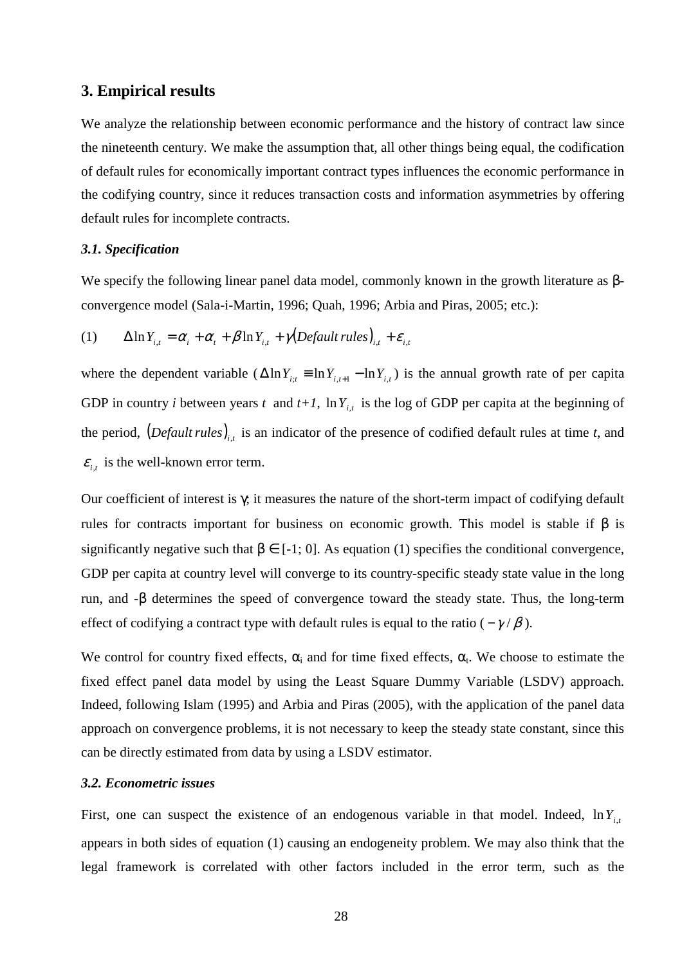## **3. Empirical results**

We analyze the relationship between economic performance and the history of contract law since the nineteenth century. We make the assumption that, all other things being equal, the codification of default rules for economically important contract types influences the economic performance in the codifying country, since it reduces transaction costs and information asymmetries by offering default rules for incomplete contracts.

#### *3.1. Specification*

We specify the following linear panel data model, commonly known in the growth literature as βconvergence model (Sala-i-Martin, 1996; Quah, 1996; Arbia and Piras, 2005; etc.):

(1) 
$$
\Delta \ln Y_{i,t} = \alpha_i + \alpha_t + \beta \ln Y_{i,t} + \gamma (Default rules)_{i,t} + \varepsilon_{i,t}
$$

where the dependent variable  $(\Delta \ln Y_{i,t} \equiv \ln Y_{i,t-1} - \ln Y_{i,t})$  is the annual growth rate of per capita GDP in country *i* between years *t* and  $t+1$ ,  $\ln Y_{i,t}$  is the log of GDP per capita at the beginning of the period,  $(Default rules)_{i,t}$  is an indicator of the presence of codified default rules at time *t*, and  $\varepsilon_{i,t}$  is the well-known error term.

Our coefficient of interest is γ; it measures the nature of the short-term impact of codifying default rules for contracts important for business on economic growth. This model is stable if β is significantly negative such that  $\beta \in [-1, 0]$ . As equation (1) specifies the conditional convergence, GDP per capita at country level will converge to its country-specific steady state value in the long run, and -β determines the speed of convergence toward the steady state. Thus, the long-term effect of codifying a contract type with default rules is equal to the ratio ( $-\gamma/\beta$ ).

We control for country fixed effects,  $\alpha_i$  and for time fixed effects,  $\alpha_i$ . We choose to estimate the fixed effect panel data model by using the Least Square Dummy Variable (LSDV) approach. Indeed, following Islam (1995) and Arbia and Piras (2005), with the application of the panel data approach on convergence problems, it is not necessary to keep the steady state constant, since this can be directly estimated from data by using a LSDV estimator.

### *3.2. Econometric issues*

First, one can suspect the existence of an endogenous variable in that model. Indeed,  $\ln Y_{i,t}$ appears in both sides of equation (1) causing an endogeneity problem. We may also think that the legal framework is correlated with other factors included in the error term, such as the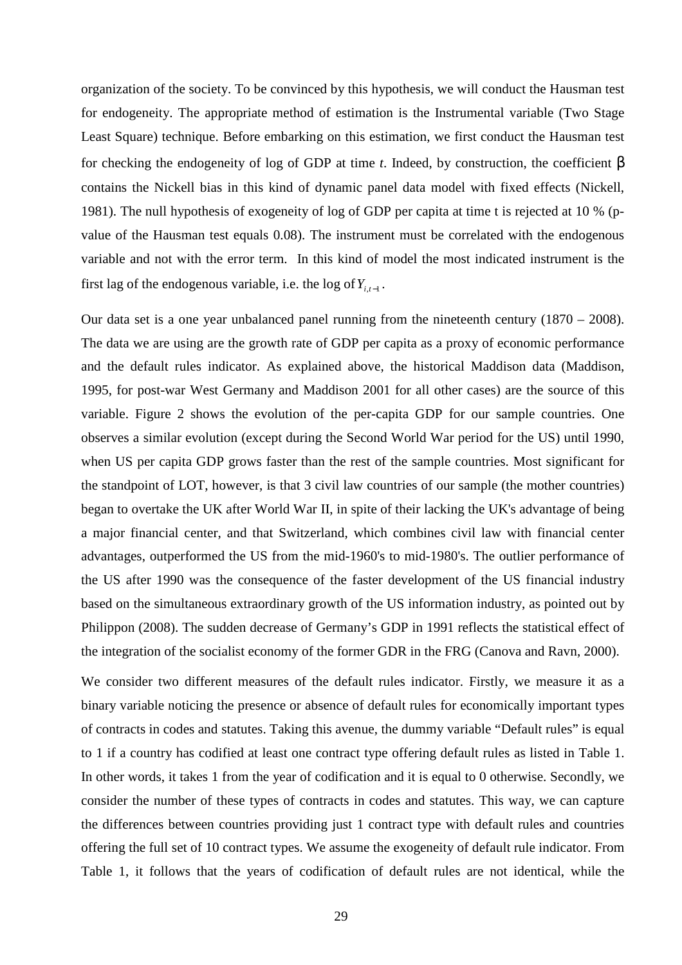organization of the society. To be convinced by this hypothesis, we will conduct the Hausman test for endogeneity. The appropriate method of estimation is the Instrumental variable (Two Stage Least Square) technique. Before embarking on this estimation, we first conduct the Hausman test for checking the endogeneity of log of GDP at time *t*. Indeed, by construction, the coefficient β contains the Nickell bias in this kind of dynamic panel data model with fixed effects (Nickell, 1981). The null hypothesis of exogeneity of log of GDP per capita at time t is rejected at 10 % (pvalue of the Hausman test equals 0.08). The instrument must be correlated with the endogenous variable and not with the error term. In this kind of model the most indicated instrument is the first lag of the endogenous variable, i.e. the log of  $Y_{i,t-1}$ .

Our data set is a one year unbalanced panel running from the nineteenth century (1870 – 2008). The data we are using are the growth rate of GDP per capita as a proxy of economic performance and the default rules indicator. As explained above, the historical Maddison data (Maddison, 1995, for post-war West Germany and Maddison 2001 for all other cases) are the source of this variable. Figure 2 shows the evolution of the per-capita GDP for our sample countries. One observes a similar evolution (except during the Second World War period for the US) until 1990, when US per capita GDP grows faster than the rest of the sample countries. Most significant for the standpoint of LOT, however, is that 3 civil law countries of our sample (the mother countries) began to overtake the UK after World War II, in spite of their lacking the UK's advantage of being a major financial center, and that Switzerland, which combines civil law with financial center advantages, outperformed the US from the mid-1960's to mid-1980's. The outlier performance of the US after 1990 was the consequence of the faster development of the US financial industry based on the simultaneous extraordinary growth of the US information industry, as pointed out by Philippon (2008). The sudden decrease of Germany's GDP in 1991 reflects the statistical effect of the integration of the socialist economy of the former GDR in the FRG (Canova and Ravn, 2000).

We consider two different measures of the default rules indicator. Firstly, we measure it as a binary variable noticing the presence or absence of default rules for economically important types of contracts in codes and statutes. Taking this avenue, the dummy variable "Default rules" is equal to 1 if a country has codified at least one contract type offering default rules as listed in Table 1. In other words, it takes 1 from the year of codification and it is equal to 0 otherwise. Secondly, we consider the number of these types of contracts in codes and statutes. This way, we can capture the differences between countries providing just 1 contract type with default rules and countries offering the full set of 10 contract types. We assume the exogeneity of default rule indicator. From Table 1, it follows that the years of codification of default rules are not identical, while the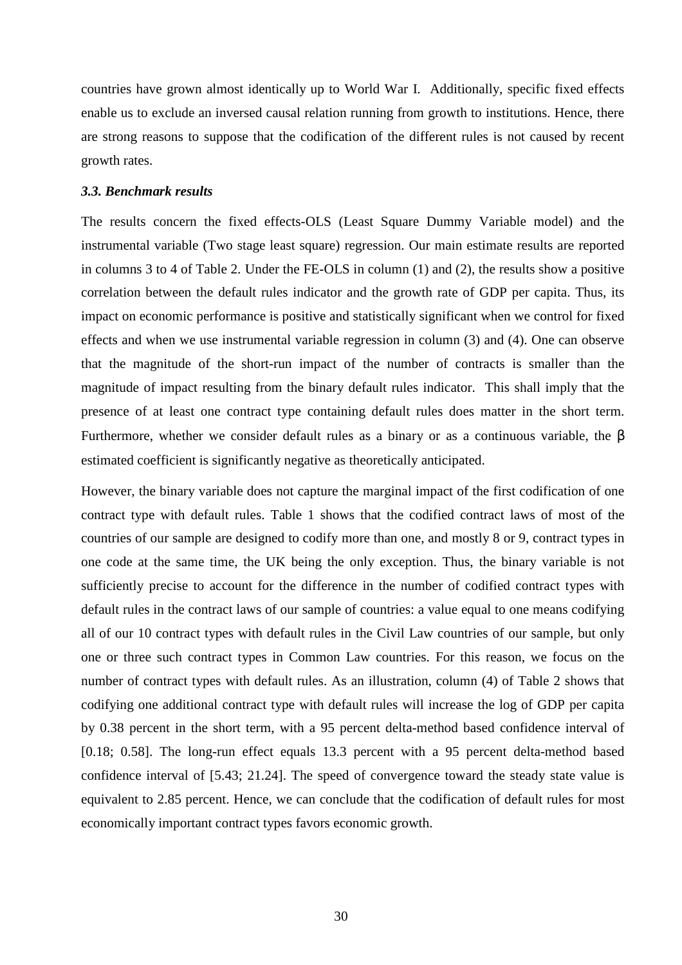countries have grown almost identically up to World War I. Additionally, specific fixed effects enable us to exclude an inversed causal relation running from growth to institutions. Hence, there are strong reasons to suppose that the codification of the different rules is not caused by recent growth rates.

#### *3.3. Benchmark results*

The results concern the fixed effects-OLS (Least Square Dummy Variable model) and the instrumental variable (Two stage least square) regression. Our main estimate results are reported in columns 3 to 4 of Table 2. Under the FE-OLS in column (1) and (2), the results show a positive correlation between the default rules indicator and the growth rate of GDP per capita. Thus, its impact on economic performance is positive and statistically significant when we control for fixed effects and when we use instrumental variable regression in column (3) and (4). One can observe that the magnitude of the short-run impact of the number of contracts is smaller than the magnitude of impact resulting from the binary default rules indicator. This shall imply that the presence of at least one contract type containing default rules does matter in the short term. Furthermore, whether we consider default rules as a binary or as a continuous variable, the  $\beta$ estimated coefficient is significantly negative as theoretically anticipated.

However, the binary variable does not capture the marginal impact of the first codification of one contract type with default rules. Table 1 shows that the codified contract laws of most of the countries of our sample are designed to codify more than one, and mostly 8 or 9, contract types in one code at the same time, the UK being the only exception. Thus, the binary variable is not sufficiently precise to account for the difference in the number of codified contract types with default rules in the contract laws of our sample of countries: a value equal to one means codifying all of our 10 contract types with default rules in the Civil Law countries of our sample, but only one or three such contract types in Common Law countries. For this reason, we focus on the number of contract types with default rules. As an illustration, column (4) of Table 2 shows that codifying one additional contract type with default rules will increase the log of GDP per capita by 0.38 percent in the short term, with a 95 percent delta-method based confidence interval of [0.18; 0.58]. The long-run effect equals 13.3 percent with a 95 percent delta-method based confidence interval of [5.43; 21.24]. The speed of convergence toward the steady state value is equivalent to 2.85 percent. Hence, we can conclude that the codification of default rules for most economically important contract types favors economic growth.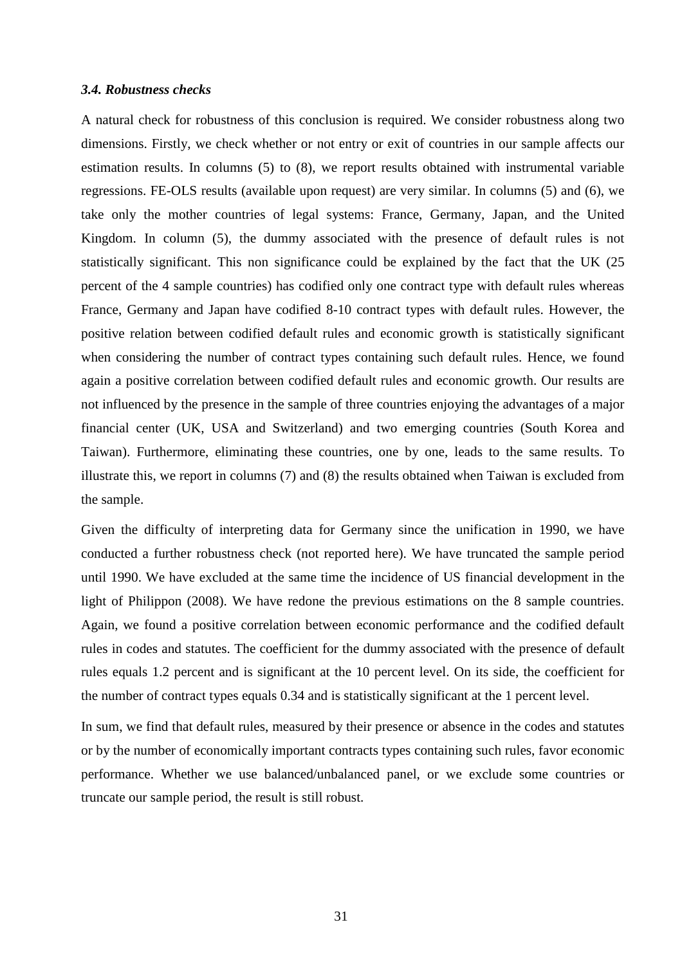#### *3.4. Robustness checks*

A natural check for robustness of this conclusion is required. We consider robustness along two dimensions. Firstly, we check whether or not entry or exit of countries in our sample affects our estimation results. In columns (5) to (8), we report results obtained with instrumental variable regressions. FE-OLS results (available upon request) are very similar. In columns (5) and (6), we take only the mother countries of legal systems: France, Germany, Japan, and the United Kingdom. In column (5), the dummy associated with the presence of default rules is not statistically significant. This non significance could be explained by the fact that the UK (25 percent of the 4 sample countries) has codified only one contract type with default rules whereas France, Germany and Japan have codified 8-10 contract types with default rules. However, the positive relation between codified default rules and economic growth is statistically significant when considering the number of contract types containing such default rules. Hence, we found again a positive correlation between codified default rules and economic growth. Our results are not influenced by the presence in the sample of three countries enjoying the advantages of a major financial center (UK, USA and Switzerland) and two emerging countries (South Korea and Taiwan). Furthermore, eliminating these countries, one by one, leads to the same results. To illustrate this, we report in columns (7) and (8) the results obtained when Taiwan is excluded from the sample.

Given the difficulty of interpreting data for Germany since the unification in 1990, we have conducted a further robustness check (not reported here). We have truncated the sample period until 1990. We have excluded at the same time the incidence of US financial development in the light of Philippon (2008). We have redone the previous estimations on the 8 sample countries. Again, we found a positive correlation between economic performance and the codified default rules in codes and statutes. The coefficient for the dummy associated with the presence of default rules equals 1.2 percent and is significant at the 10 percent level. On its side, the coefficient for the number of contract types equals 0.34 and is statistically significant at the 1 percent level.

In sum, we find that default rules, measured by their presence or absence in the codes and statutes or by the number of economically important contracts types containing such rules, favor economic performance. Whether we use balanced/unbalanced panel, or we exclude some countries or truncate our sample period, the result is still robust.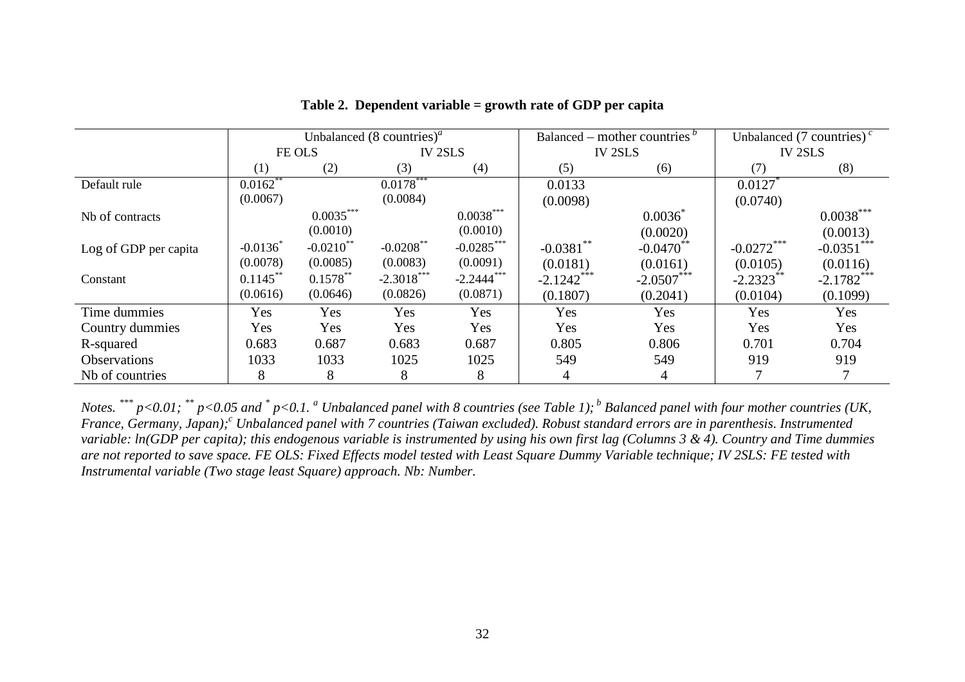|                       | Unbalanced $(8 \text{ countries})^a$ |              |                |               |                | Balanced – mother countries $\frac{b}{c}$ | Unbalanced (7 countries) <sup><math>c</math></sup> |              |  |
|-----------------------|--------------------------------------|--------------|----------------|---------------|----------------|-------------------------------------------|----------------------------------------------------|--------------|--|
|                       | FE OLS                               |              | <b>IV 2SLS</b> |               | <b>IV 2SLS</b> |                                           | <b>IV 2SLS</b>                                     |              |  |
|                       | (1)                                  | (2)          | (3)            | (4)           | (5)            | (6)                                       | (7)                                                | (8)          |  |
| Default rule          | $0.0162**$                           |              | $0.0178***$    |               | 0.0133         |                                           | 0.0127                                             |              |  |
|                       | (0.0067)                             |              | (0.0084)       |               | (0.0098)       |                                           | (0.0740)                                           |              |  |
| Nb of contracts       |                                      | $0.0035***$  |                | $0.0038***$   |                | $0.0036^{\degree}$                        |                                                    | $0.0038***$  |  |
|                       |                                      | (0.0010)     |                | (0.0010)      |                | (0.0020)                                  |                                                    | (0.0013)     |  |
| Log of GDP per capita | $-0.0136$                            | $-0.0210$ ** | $-0.0208$ **   | $-0.0285***$  | $-0.0381$ **   | $-0.0470$ **                              | $-0.0272***$                                       | $-0.0351$    |  |
|                       | (0.0078)                             | (0.0085)     | (0.0083)       | (0.0091)      | (0.0181)       | (0.0161)                                  | (0.0105)                                           | (0.0116)     |  |
| Constant              | $0.1145***$                          | $0.1578***$  | $-2.3018***$   | $-2.2444$ *** | $-2.1242***$   | $-2.0507***$                              | $-2.2323$                                          | $-2.1782***$ |  |
|                       | (0.0616)                             | (0.0646)     | (0.0826)       | (0.0871)      | (0.1807)       | (0.2041)                                  | (0.0104)                                           | (0.1099)     |  |
| Time dummies          | Yes                                  | Yes          | Yes            | Yes           | Yes            | Yes                                       | Yes                                                | Yes          |  |
| Country dummies       | Yes                                  | Yes          | Yes            | <b>Yes</b>    | Yes            | Yes                                       | Yes                                                | Yes          |  |
| R-squared             | 0.683                                | 0.687        | 0.683          | 0.687         | 0.805          | 0.806                                     | 0.701                                              | 0.704        |  |
| <b>Observations</b>   | 1033                                 | 1033         | 1025           | 1025          | 549            | 549                                       | 919                                                | 919          |  |
| Nb of countries       | 8                                    | 8            | 8              | 8             | 4              | 4                                         |                                                    |              |  |

## **Table 2. Dependent variable = growth rate of GDP per capita**

Notes. \*\*\*  $p<0.01$ ; \*\*  $p<0.05$  and \*  $p<0.1$ .  $a$  Unbalanced panel with 8 countries (see Table 1);  $b$  Balanced panel with four mother countries (UK, *France, Germany, Japan);c Unbalanced panel with 7 countries (Taiwan excluded). Robust standard errors are in parenthesis. Instrumented variable: ln(GDP per capita); this endogenous variable is instrumented by using his own first lag (Columns 3 & 4). Country and Time dummies are not reported to save space. FE OLS: Fixed Effects model tested with Least Square Dummy Variable technique; IV 2SLS: FE tested with Instrumental variable (Two stage least Square) approach. Nb: Number.*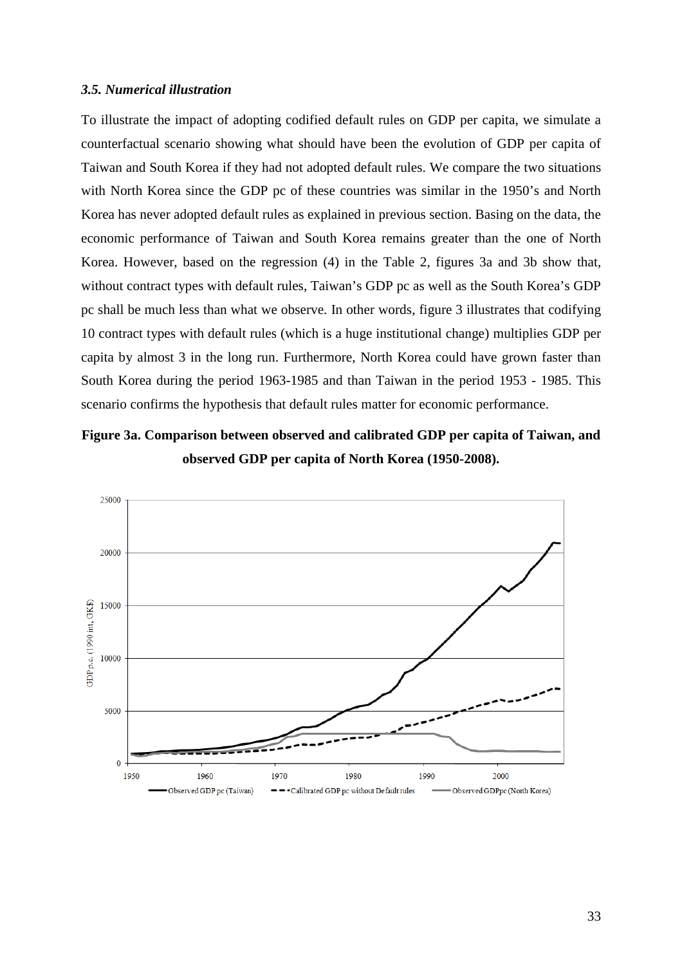#### *3.5. Numerical illustration*

To illustrate the impact of adopting codified default rules on GDP per capita, we simulate a counterfactual scenario showing what should have been the evolution of GDP per capita of Taiwan and South Korea if they had not adopted default rules. We compare the two situations with North Korea since the GDP pc of these countries was similar in the 1950's and North Korea has never adopted default rules as explained in previous section. Basing on the data, the economic performance of Taiwan and South Korea remains greater than the one of North Korea. However, based on the regression (4) in the Table 2, figures 3a and 3b show that, without contract types with default rules, Taiwan's GDP pc as well as the South Korea's GDP pc shall be much less than what we observe. In other words, figure 3 illustrates that codifying 10 contract types with default rules (which is a huge institutional change) multiplies GDP per capita by almost 3 in the long run. Furthermore, North Korea could have grown faster than South Korea during the period 1963-1985 and than Taiwan in the period 1953 - 1985. This scenario confirms the hypothesis that default rules matter for economic performance.

**Figure 3a. Comparison between observed and calibrated GDP per capita of Taiwan, and observed GDP per capita of North Korea (1950-2008).**

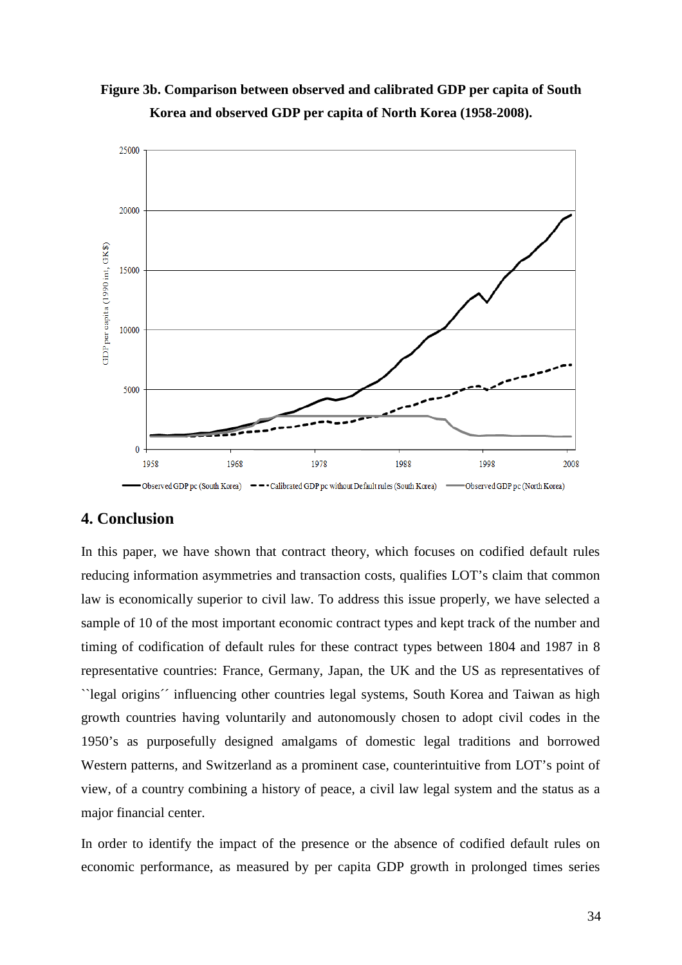



# **4. Conclusion**

In this paper, we have shown that contract theory, which focuses on codified default rules reducing information asymmetries and transaction costs, qualifies LOT's claim that common law is economically superior to civil law. To address this issue properly, we have selected a sample of 10 of the most important economic contract types and kept track of the number and timing of codification of default rules for these contract types between 1804 and 1987 in 8 representative countries: France, Germany, Japan, the UK and the US as representatives of ``legal origins´´ influencing other countries legal systems, South Korea and Taiwan as high growth countries having voluntarily and autonomously chosen to adopt civil codes in the 1950's as purposefully designed amalgams of domestic legal traditions and borrowed Western patterns, and Switzerland as a prominent case, counterintuitive from LOT's point of view, of a country combining a history of peace, a civil law legal system and the status as a major financial center.

In order to identify the impact of the presence or the absence of codified default rules on economic performance, as measured by per capita GDP growth in prolonged times series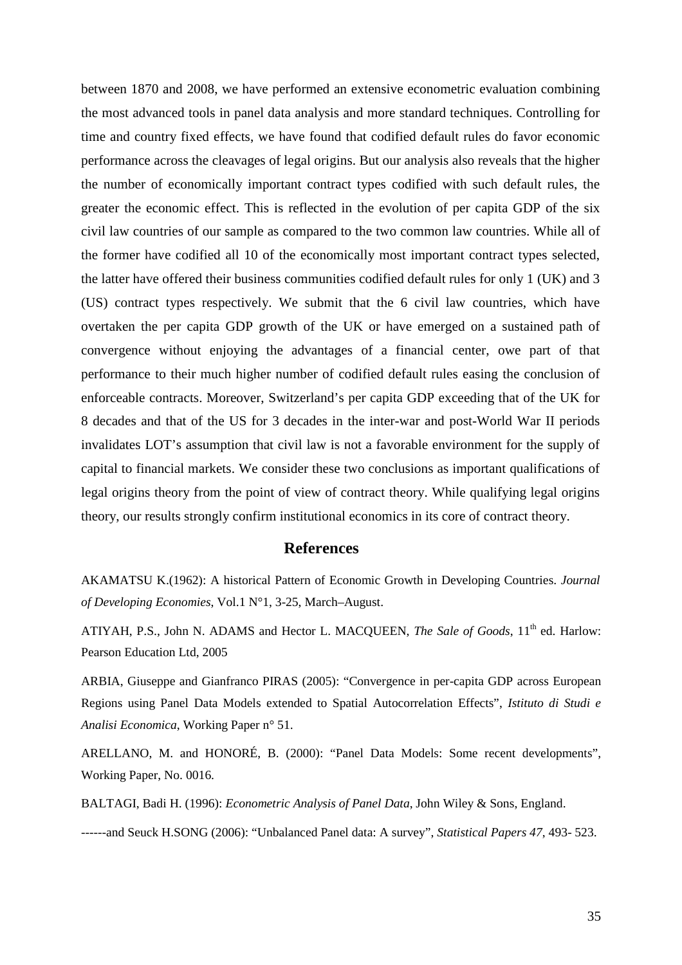between 1870 and 2008, we have performed an extensive econometric evaluation combining the most advanced tools in panel data analysis and more standard techniques. Controlling for time and country fixed effects, we have found that codified default rules do favor economic performance across the cleavages of legal origins. But our analysis also reveals that the higher the number of economically important contract types codified with such default rules, the greater the economic effect. This is reflected in the evolution of per capita GDP of the six civil law countries of our sample as compared to the two common law countries. While all of the former have codified all 10 of the economically most important contract types selected, the latter have offered their business communities codified default rules for only 1 (UK) and 3 (US) contract types respectively. We submit that the 6 civil law countries, which have overtaken the per capita GDP growth of the UK or have emerged on a sustained path of convergence without enjoying the advantages of a financial center, owe part of that performance to their much higher number of codified default rules easing the conclusion of enforceable contracts. Moreover, Switzerland's per capita GDP exceeding that of the UK for 8 decades and that of the US for 3 decades in the inter-war and post-World War II periods invalidates LOT's assumption that civil law is not a favorable environment for the supply of capital to financial markets. We consider these two conclusions as important qualifications of legal origins theory from the point of view of contract theory. While qualifying legal origins theory, our results strongly confirm institutional economics in its core of contract theory.

# **References**

AKAMATSU K.(1962): A historical Pattern of Economic Growth in Developing Countries. *Journal of Developing Economies*, Vol.1 N°1, 3-25, March–August.

ATIYAH, P.S., John N. ADAMS and Hector L. MACQUEEN, *The Sale of Goods*, 11<sup>th</sup> ed. Harlow: Pearson Education Ltd, 2005

ARBIA, Giuseppe and Gianfranco PIRAS (2005): "Convergence in per-capita GDP across European Regions using Panel Data Models extended to Spatial Autocorrelation Effects", *Istituto di Studi e Analisi Economica*, Working Paper n° 51.

ARELLANO, M. and HONORÉ, B. (2000): "Panel Data Models: Some recent developments", Working Paper, No. 0016.

BALTAGI, Badi H. (1996): *Econometric Analysis of Panel Data*, John Wiley & Sons, England.

------and Seuck H.SONG (2006): "Unbalanced Panel data: A survey", *Statistical Papers 47*, 493- 523.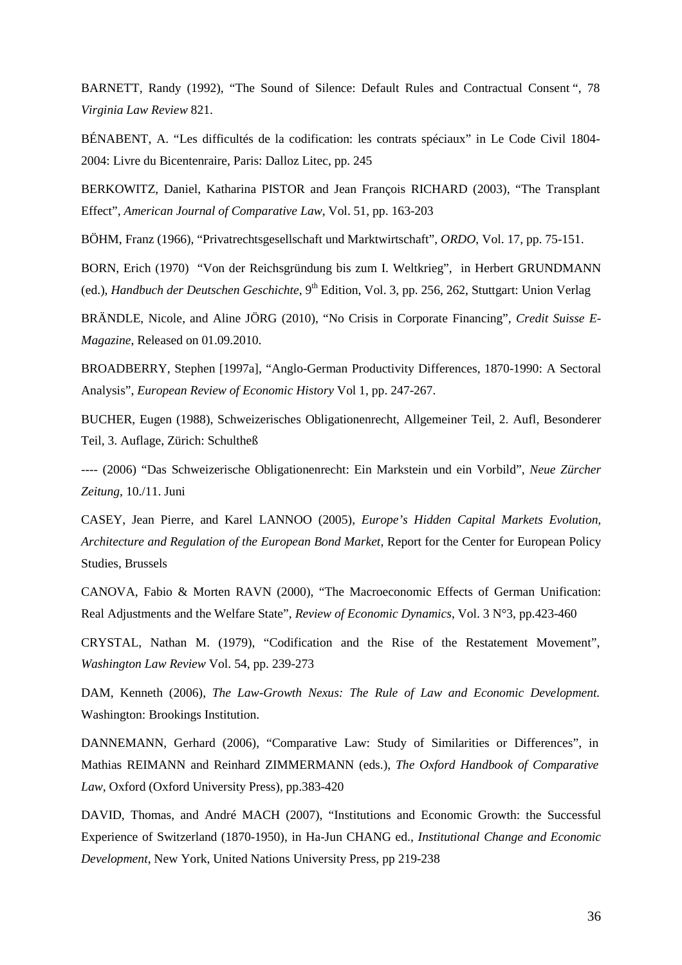BARNETT, Randy (1992), "The Sound of Silence: Default Rules and Contractual Consent ", 78 *Virginia Law Review* 821.

BÉNABENT, A. "Les difficultés de la codification: les contrats spéciaux" in Le Code Civil 1804- 2004: Livre du Bicentenraire, Paris: Dalloz Litec, pp. 245

BERKOWITZ, Daniel, Katharina PISTOR and Jean François RICHARD (2003), "The Transplant Effect", *American Journal of Comparative Law*, Vol. 51, pp. 163-203

BÖHM, Franz (1966), "Privatrechtsgesellschaft und Marktwirtschaft", *ORDO*, Vol. 17, pp. 75-151.

BORN, Erich (1970) "Von der Reichsgründung bis zum I. Weltkrieg", in Herbert GRUNDMANN (ed.), *Handbuch der Deutschen Geschichte*, 9<sup>th</sup> Edition, Vol. 3, pp. 256, 262, Stuttgart: Union Verlag

BRÄNDLE, Nicole, and Aline JÖRG (2010), "No Crisis in Corporate Financing", *Credit Suisse E-Magazine*, Released on 01.09.2010.

BROADBERRY, Stephen [1997a], "Anglo-German Productivity Differences, 1870-1990: A Sectoral Analysis", *European Review of Economic History* Vol 1, pp. 247-267.

BUCHER, Eugen (1988), Schweizerisches Obligationenrecht, Allgemeiner Teil, 2. Aufl, Besonderer Teil, 3. Auflage, Zürich: Schultheß

---- (2006) "Das Schweizerische Obligationenrecht: Ein Markstein und ein Vorbild", *Neue Zürcher Zeitung*, 10./11. Juni

CASEY, Jean Pierre, and Karel LANNOO (2005), *Europe's Hidden Capital Markets Evolution, Architecture and Regulation of the European Bond Market,* Report for the Center for European Policy Studies, Brussels

CANOVA, Fabio & Morten RAVN (2000), "The Macroeconomic Effects of German Unification: Real Adjustments and the Welfare State", *Review of Economic Dynamics*, Vol. 3 N°3, pp.423-460

CRYSTAL, Nathan M. (1979), "Codification and the Rise of the Restatement Movement", *Washington Law Review* Vol. 54, pp. 239-273

DAM, Kenneth (2006), *The Law-Growth Nexus: The Rule of Law and Economic Development.* Washington: Brookings Institution.

DANNEMANN, Gerhard (2006), "Comparative Law: Study of Similarities or Differences", in Mathias REIMANN and Reinhard ZIMMERMANN (eds.), *The Oxford Handbook of Comparative Law*, Oxford (Oxford University Press), pp.383-420

DAVID, Thomas, and André MACH (2007), "Institutions and Economic Growth: the Successful Experience of Switzerland (1870-1950), in Ha-Jun CHANG ed., *Institutional Change and Economic Development*, New York, United Nations University Press, pp 219-238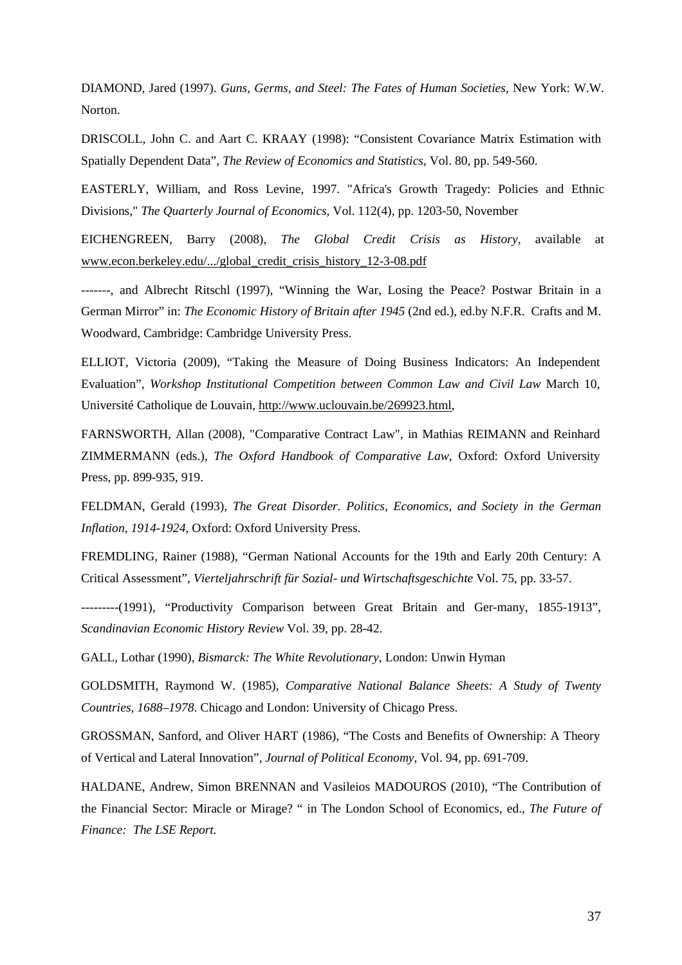DIAMOND, Jared (1997). *Guns, Germs, and Steel: The Fates of Human Societies*, New York: W.W. Norton.

DRISCOLL, John C. and Aart C. KRAAY (1998): "Consistent Covariance Matrix Estimation with Spatially Dependent Data", *The Review of Economics and Statistics*, Vol. 80, pp. 549-560.

EASTERLY, William, and Ross Levine, 1997. "Africa's Growth Tragedy: Policies and Ethnic Divisions," *The Quarterly Journal of Economics*, Vol. 112(4), pp. 1203-50, November

EICHENGREEN, Barry (2008), *The Global Credit Crisis as History*, available at www.econ.berkeley.edu/.../global\_credit\_crisis\_history\_12-3-08.pdf

-------, and Albrecht Ritschl (1997), "Winning the War, Losing the Peace? Postwar Britain in a German Mirror" in: *The Economic History of Britain after 1945* (2nd ed.), ed.by N.F.R. Crafts and M. Woodward, Cambridge: Cambridge University Press.

ELLIOT, Victoria (2009), "Taking the Measure of Doing Business Indicators: An Independent Evaluation", *Workshop Institutional Competition between Common Law and Civil Law* March 10, Université Catholique de Louvain, http://www.uclouvain.be/269923.html,

FARNSWORTH, Allan (2008), "Comparative Contract Law", in Mathias REIMANN and Reinhard ZIMMERMANN (eds.), *The Oxford Handbook of Comparative Law*, Oxford: Oxford University Press, pp. 899-935, 919.

FELDMAN, Gerald (1993), *The Great Disorder. Politics, Economics, and Society in the German Inflation, 1914-1924*, Oxford: Oxford University Press.

FREMDLING, Rainer (1988), "German National Accounts for the 19th and Early 20th Century: A Critical Assessment", *Vierteljahrschrift für Sozial- und Wirtschaftsgeschichte* Vol. 75, pp. 33-57.

---------(1991), "Productivity Comparison between Great Britain and Ger-many, 1855-1913", *Scandinavian Economic History Review* Vol. 39, pp. 28-42.

GALL, Lothar (1990), *Bismarck: The White Revolutionary*, London: Unwin Hyman

GOLDSMITH, Raymond W. (1985), *Comparative National Balance Sheets: A Study of Twenty Countries, 1688–1978*. Chicago and London: University of Chicago Press.

GROSSMAN, Sanford, and Oliver HART (1986), "The Costs and Benefits of Ownership: A Theory of Vertical and Lateral Innovation", *Journal of Political Economy*, Vol. 94, pp. 691-709.

HALDANE, Andrew, Simon BRENNAN and Vasileios MADOUROS (2010), "The Contribution of the Financial Sector: Miracle or Mirage? " in The London School of Economics, ed., *The Future of Finance: The LSE Report.*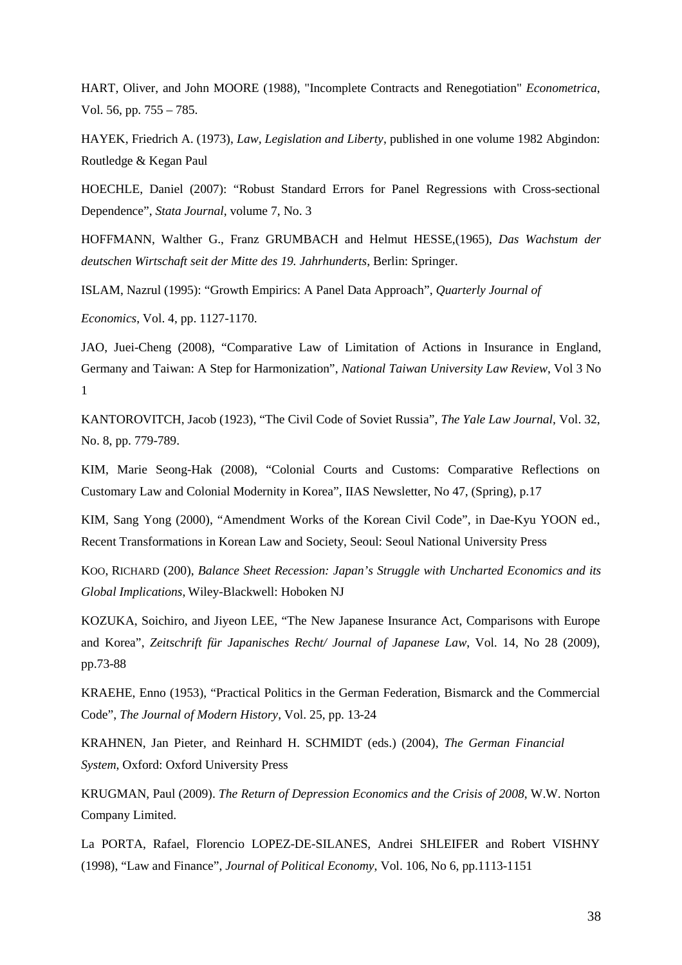HART, Oliver, and John MOORE (1988), "Incomplete Contracts and Renegotiation" *Econometrica*, Vol. 56, pp. 755 – 785.

HAYEK, Friedrich A. (1973), *Law, Legislation and Liberty*, published in one volume 1982 Abgindon: Routledge & Kegan Paul

HOECHLE, Daniel (2007): "Robust Standard Errors for Panel Regressions with Cross-sectional Dependence", *Stata Journal*, volume 7, No. 3

HOFFMANN, Walther G., Franz GRUMBACH and Helmut HESSE,(1965), *Das Wachstum der deutschen Wirtschaft seit der Mitte des 19. Jahrhunderts*, Berlin: Springer.

ISLAM, Nazrul (1995): "Growth Empirics: A Panel Data Approach", *Quarterly Journal of* 

*Economics*, Vol. 4, pp. 1127-1170.

JAO, Juei-Cheng (2008), "Comparative Law of Limitation of Actions in Insurance in England, Germany and Taiwan: A Step for Harmonization", *National Taiwan University Law Review*, Vol 3 No 1

KANTOROVITCH, Jacob (1923), "The Civil Code of Soviet Russia", *The Yale Law Journal*, Vol. 32, No. 8, pp. 779-789.

KIM, Marie Seong-Hak (2008), "Colonial Courts and Customs: Comparative Reflections on Customary Law and Colonial Modernity in Korea", IIAS Newsletter, No 47, (Spring), p.17

KIM, Sang Yong (2000), "Amendment Works of the Korean Civil Code", in Dae-Kyu YOON ed., Recent Transformations in Korean Law and Society, Seoul: Seoul National University Press

KOO, RICHARD (200), *Balance Sheet Recession: Japan's Struggle with Uncharted Economics and its Global Implications*, Wiley-Blackwell: Hoboken NJ

KOZUKA, Soichiro, and Jiyeon LEE, "The New Japanese Insurance Act, Comparisons with Europe and Korea", *Zeitschrift für Japanisches Recht/ Journal of Japanese Law*, Vol. 14, No 28 (2009), pp.73-88

KRAEHE, Enno (1953), "Practical Politics in the German Federation, Bismarck and the Commercial Code", *The Journal of Modern History*, Vol. 25, pp. 13-24

KRAHNEN, Jan Pieter, and Reinhard H. SCHMIDT (eds.) (2004), *The German Financial System*, Oxford: Oxford University Press

KRUGMAN, Paul (2009). *The Return of Depression Economics and the Crisis of 2008*, W.W. Norton Company Limited.

La PORTA, Rafael, Florencio LOPEZ-DE-SILANES, Andrei SHLEIFER and Robert VISHNY (1998), "Law and Finance", *Journal of Political Economy*, Vol. 106, No 6, pp.1113-1151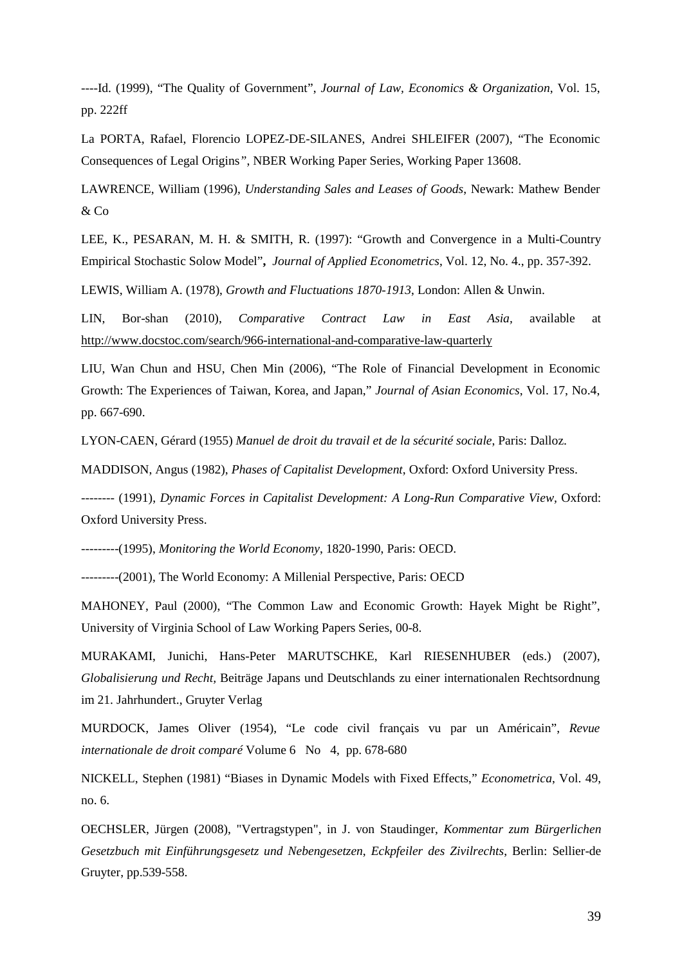----Id. (1999), "The Quality of Government", *Journal of Law, Economics & Organization*, Vol. 15, pp. 222ff

La PORTA, Rafael, Florencio LOPEZ-DE-SILANES, Andrei SHLEIFER (2007), "The Economic Consequences of Legal Origins*"*, NBER Working Paper Series, Working Paper 13608.

LAWRENCE, William (1996), *Understanding Sales and Leases of Goods*, Newark: Mathew Bender & Co

LEE, K., PESARAN, M. H. & SMITH, R. (1997): "Growth and Convergence in a Multi-Country Empirical Stochastic Solow Model"**,** *Journal of Applied Econometrics*, Vol. 12, No. 4., pp. 357-392.

LEWIS, William A. (1978), *Growth and Fluctuations 1870-1913*, London: Allen & Unwin.

LIN, Bor-shan (2010), *Comparative Contract Law in East Asia,* available at http://www.docstoc.com/search/966-international-and-comparative-law-quarterly

LIU, Wan Chun and HSU, Chen Min (2006), "The Role of Financial Development in Economic Growth: The Experiences of Taiwan, Korea, and Japan," *Journal of Asian Economics*, Vol. 17, No.4, pp. 667-690.

LYON-CAEN, Gérard (1955) *Manuel de droit du travail et de la sécurité sociale*, Paris: Dalloz.

MADDISON, Angus (1982), *Phases of Capitalist Development*, Oxford: Oxford University Press.

-------- (1991), *Dynamic Forces in Capitalist Development: A Long-Run Comparative View,* Oxford: Oxford University Press.

---------(1995), *Monitoring the World Economy*, 1820-1990, Paris: OECD.

---------(2001), The World Economy: A Millenial Perspective, Paris: OECD

MAHONEY, Paul (2000), "The Common Law and Economic Growth: Hayek Might be Right", University of Virginia School of Law Working Papers Series, 00-8.

MURAKAMI, Junichi, Hans-Peter MARUTSCHKE, Karl RIESENHUBER (eds.) (2007), *Globalisierung und Recht,* Beiträge Japans und Deutschlands zu einer internationalen Rechtsordnung im 21. Jahrhundert., Gruyter Verlag

MURDOCK, James Oliver (1954), "Le code civil français vu par un Américain", *Revue internationale de droit comparé* Volume 6 No 4, pp. 678-680

NICKELL, Stephen (1981) "Biases in Dynamic Models with Fixed Effects," *Econometrica*, Vol. 49, no. 6.

OECHSLER, Jürgen (2008), "Vertragstypen", in J. von Staudinger, *Kommentar zum Bürgerlichen Gesetzbuch mit Einführungsgesetz und Nebengesetzen*, *Eckpfeiler des Zivilrechts*, Berlin: Sellier-de Gruyter, pp.539-558.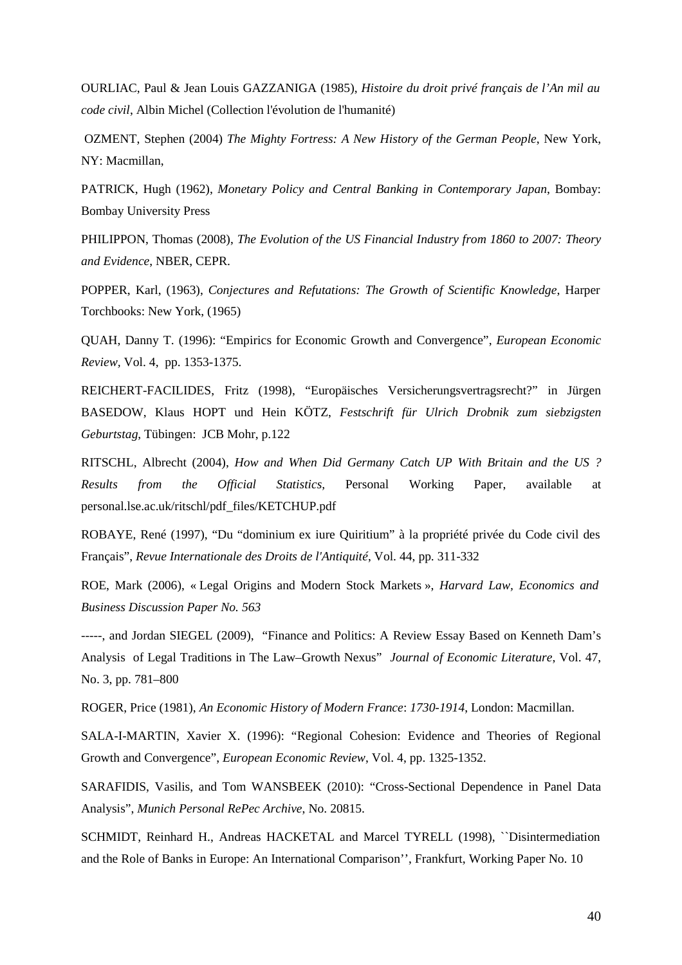OURLIAC, Paul & Jean Louis GAZZANIGA (1985), *Histoire du droit privé français de l'An mil au code civil*, Albin Michel (Collection l'évolution de l'humanité)

 OZMENT, Stephen (2004) *The Mighty Fortress: A New History of the German People*, New York, NY: Macmillan,

PATRICK, Hugh (1962), *Monetary Policy and Central Banking in Contemporary Japan*, Bombay: Bombay University Press

PHILIPPON, Thomas (2008), *The Evolution of the US Financial Industry from 1860 to 2007: Theory and Evidence*, NBER, CEPR.

POPPER, Karl, (1963), *Conjectures and Refutations: The Growth of Scientific Knowledge*, Harper Torchbooks: New York, (1965)

QUAH, Danny T. (1996): "Empirics for Economic Growth and Convergence", *European Economic Review,* Vol. 4, pp. 1353-1375.

REICHERT-FACILIDES, Fritz (1998), "Europäisches Versicherungsvertragsrecht?" in Jürgen BASEDOW, Klaus HOPT und Hein KÖTZ, *Festschrift für Ulrich Drobnik zum siebzigsten Geburtstag*, Tübingen: JCB Mohr, p.122

RITSCHL, Albrecht (2004), *How and When Did Germany Catch UP With Britain and the US ? Results from the Official Statistics,* Personal Working Paper, available at personal.lse.ac.uk/ritschl/pdf\_files/KETCHUP.pdf

ROBAYE, René (1997), "Du "dominium ex iure Quiritium" à la propriété privée du Code civil des Français", *Revue Internationale des Droits de l'Antiquité*, Vol. 44, pp. 311-332

ROE, Mark (2006), « Legal Origins and Modern Stock Markets », *Harvard Law, Economics and Business Discussion Paper No. 563* 

-----, and Jordan SIEGEL (2009), "Finance and Politics: A Review Essay Based on Kenneth Dam's Analysis of Legal Traditions in The Law–Growth Nexus" *Journal of Economic Literature*, Vol. 47, No. 3, pp. 781–800

ROGER, Price (1981), *An Economic History of Modern France*: *1730-1914*, London: Macmillan.

SALA-I-MARTIN, Xavier X. (1996): "Regional Cohesion: Evidence and Theories of Regional Growth and Convergence", *European Economic Review*, Vol. 4, pp. 1325-1352.

SARAFIDIS, Vasilis, and Tom WANSBEEK (2010): "Cross-Sectional Dependence in Panel Data Analysis", *Munich Personal RePec Archive*, No. 20815.

SCHMIDT, Reinhard H., Andreas HACKETAL and Marcel TYRELL (1998), ``Disintermediation and the Role of Banks in Europe: An International Comparison'', Frankfurt, Working Paper No. 10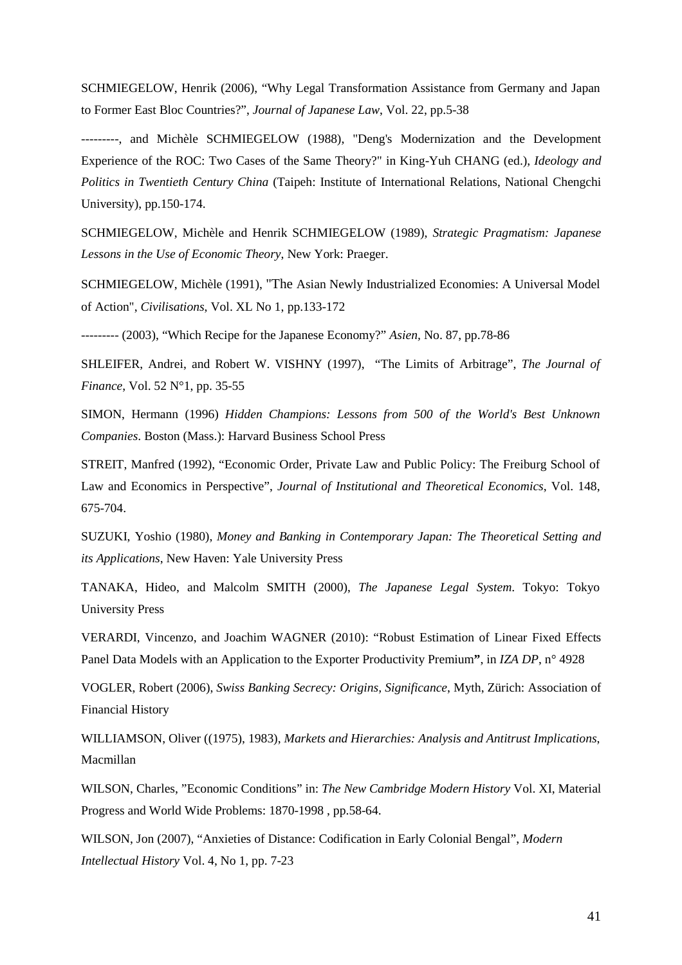SCHMIEGELOW, Henrik (2006), "Why Legal Transformation Assistance from Germany and Japan to Former East Bloc Countries?", *Journal of Japanese Law*, Vol. 22, pp.5-38

---------, and Michèle SCHMIEGELOW (1988), "Deng's Modernization and the Development Experience of the ROC: Two Cases of the Same Theory?" in King-Yuh CHANG (ed.), *Ideology and Politics in Twentieth Century China* (Taipeh: Institute of International Relations, National Chengchi University), pp.150-174.

SCHMIEGELOW, Michèle and Henrik SCHMIEGELOW (1989), *Strategic Pragmatism: Japanese Lessons in the Use of Economic Theory*, New York: Praeger.

SCHMIEGELOW, Michèle (1991), "The Asian Newly Industrialized Economies: A Universal Model of Action", *Civilisations*, Vol. XL No 1, pp.133-172

--------- (2003), "Which Recipe for the Japanese Economy?" *Asien,* No. 87, pp.78-86

SHLEIFER, Andrei, and Robert W. VISHNY (1997), "The Limits of Arbitrage", *The Journal of Finance*, Vol. 52 N°1, pp. 35-55

SIMON, Hermann (1996) *Hidden Champions: Lessons from 500 of the World's Best Unknown Companies*. Boston (Mass.): Harvard Business School Press

STREIT, Manfred (1992), "Economic Order, Private Law and Public Policy: The Freiburg School of Law and Economics in Perspective", *Journal of Institutional and Theoretical Economics*, Vol. 148, 675-704.

SUZUKI, Yoshio (1980), *Money and Banking in Contemporary Japan: The Theoretical Setting and its Applications*, New Haven: Yale University Press

TANAKA, Hideo, and Malcolm SMITH (2000), *The Japanese Legal System*. Tokyo: Tokyo University Press

VERARDI, Vincenzo, and Joachim WAGNER (2010): "Robust Estimation of Linear Fixed Effects Panel Data Models with an Application to the Exporter Productivity Premium**"**, in *IZA DP*, n° 4928

VOGLER, Robert (2006), *Swiss Banking Secrecy: Origins, Significance*, Myth, Zürich: Association of Financial History

WILLIAMSON, Oliver ((1975), 1983), *Markets and Hierarchies: Analysis and Antitrust Implications*, Macmillan

WILSON, Charles, "Economic Conditions" in: *The New Cambridge Modern History* Vol. XI, Material Progress and World Wide Problems: 1870-1998 , pp.58-64.

WILSON, Jon (2007), "Anxieties of Distance: Codification in Early Colonial Bengal", *Modern Intellectual History* Vol. 4, No 1, pp. 7-23